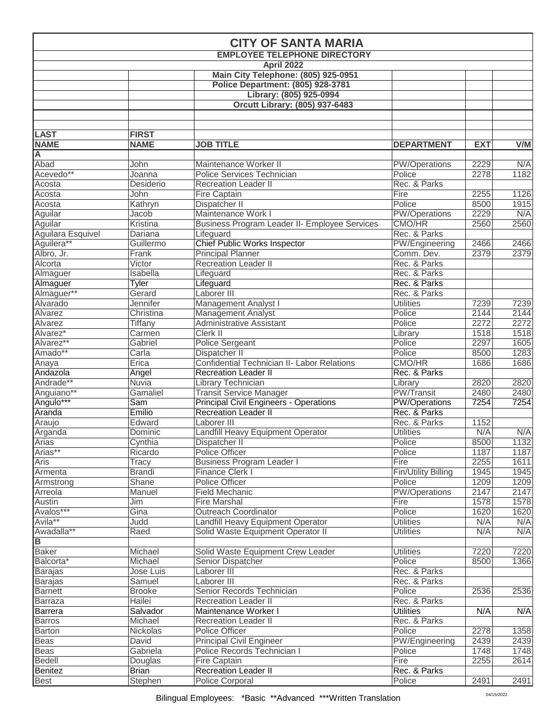|                                            |                  | <b>CITY OF SANTA MARIA</b>                           |                      |            |      |  |  |
|--------------------------------------------|------------------|------------------------------------------------------|----------------------|------------|------|--|--|
| <b>EMPLOYEE TELEPHONE DIRECTORY</b>        |                  |                                                      |                      |            |      |  |  |
|                                            |                  | <b>April 2022</b>                                    |                      |            |      |  |  |
|                                            |                  | <b>Main City Telephone: (805) 925-0951</b>           |                      |            |      |  |  |
|                                            |                  | <b>Police Department: (805) 928-3781</b>             |                      |            |      |  |  |
|                                            |                  | Library: (805) 925-0994                              |                      |            |      |  |  |
|                                            |                  | <b>Orcutt Library: (805) 937-6483</b>                |                      |            |      |  |  |
| <b>LAST</b>                                | <b>FIRST</b>     |                                                      |                      |            |      |  |  |
| <b>NAME</b>                                | <b>NAME</b>      | <b>JOB TITLE</b>                                     | <b>DEPARTMENT</b>    | <b>EXT</b> | V/M  |  |  |
| A                                          |                  |                                                      |                      |            |      |  |  |
| Abad                                       | John             | Maintenance Worker II                                | <b>PW/Operations</b> | 2229       | N/A  |  |  |
| Acevedo**                                  | Joanna           | Police Services Technician                           | Police               | 2278       | 1182 |  |  |
| Acosta                                     | Desiderio        | <b>Recreation Leader II</b>                          | Rec. & Parks         |            |      |  |  |
| Acosta                                     | John             | Fire Captain                                         | Fire                 | 2255       | 1126 |  |  |
| Acosta                                     | Kathryn          | Dispatcher II                                        | Police               | 8500       | 1915 |  |  |
| Aguilar                                    | Jacob            | Maintenance Work I                                   | <b>PW/Operations</b> | 2229       | N/A  |  |  |
| Aguilar<br>Aguilara Esquivel<br>Aguilera** | Kristina         | <b>Business Program Leader II- Employee Services</b> | CMO/HR               | 2560       | 2560 |  |  |
|                                            | Dariana          | Lifeguard                                            | Rec. & Parks         |            |      |  |  |
|                                            | Guillermo        | <b>Chief Public Works Inspector</b>                  | PW/Engineering       | 2466       | 2466 |  |  |
| Albro, Jr.                                 | Frank            | <b>Principal Planner</b>                             | Comm. Dev.           | 2379       | 2379 |  |  |
| Alcorta                                    | Victor           | <b>Recreation Leader II</b>                          | Rec. & Parks         |            |      |  |  |
| Almaguer                                   | Isabella         | Lifeguard                                            | Rec. & Parks         |            |      |  |  |
| Almaguer                                   | Tyler            | Lifeguard                                            | Rec. & Parks         |            |      |  |  |
| Almaguer**                                 | Gerard           | Laborer III                                          | Rec. & Parks         |            |      |  |  |
| Alvarado                                   | Jennifer         | Management Analyst I                                 | <b>Utilities</b>     | 7239       | 7239 |  |  |
| Alvarez                                    | Christina        | <b>Management Analyst</b>                            | Police               | 2144       | 2144 |  |  |
| Alvarez                                    | Tiffany          | <b>Administrative Assistant</b>                      | Police               | 2272       | 2272 |  |  |
| Alvarez*                                   | Carmen           | Clerk II                                             | Library              | 1518       | 1518 |  |  |
| Alvarez**                                  | Gabriel          | Police Sergeant                                      | Police               | 2297       | 1605 |  |  |
| Amado**                                    | Carla            | Dispatcher II                                        | Police               | 8500       | 1283 |  |  |
| Anaya                                      | Erica            | Confidential Technician II- Labor Relations          | <b>CMO/HR</b>        | 1686       | 1686 |  |  |
| Andazola                                   | Angel            | <b>Recreation Leader II</b>                          | Rec. & Parks         |            |      |  |  |
| Andrade**                                  | Nuvia            | Library Technician                                   | Library              | 2820       | 2820 |  |  |
| Anguiano**                                 | Gamaliel         | <b>Transit Service Manager</b>                       | <b>PW/Transit</b>    | 2480       | 2480 |  |  |
| Angulo***                                  | Sam              | <b>Principal Civil Engineers - Operations</b>        | <b>PW/Operations</b> | 7254       | 7254 |  |  |
| Aranda                                     | Emilio           | <b>Recreation Leader II</b>                          | Rec. & Parks         |            |      |  |  |
| Araujo                                     | Edward           | Laborer III                                          | Rec. & Parks         | 1152       |      |  |  |
| Arganda                                    | Dominic          | Landfill Heavy Equipment Operator                    | <b>Utilities</b>     | N/A        | N/A  |  |  |
| Arias                                      | Cynthia          | Dispatcher II                                        | Police               | 8500       | 1132 |  |  |
| Arias**                                    | Ricardo          | <b>Police Officer</b>                                | Police               | 1187       | 1187 |  |  |
| Aris                                       | Tracy            | <b>Business Program Leader I</b>                     | Fire                 | 2255       | 1611 |  |  |
| Armenta                                    | <b>Brandi</b>    | Finance Clerk I                                      | Fin/Utility Billing  | 1945       | 1945 |  |  |
| Armstrong                                  | <b>Shane</b>     | Police Officer                                       | Police               | 1209       | 1209 |  |  |
| Arreola                                    | Manuel           | <b>Field Mechanic</b>                                | <b>PW/Operations</b> | 2147       | 2147 |  |  |
| Austin                                     | Jim              | <b>Fire Marshal</b>                                  | Fire                 | 1578       | 1578 |  |  |
| Avalos***                                  | Gina             | <b>Outreach Coordinator</b>                          | Police               | 1620       | 1620 |  |  |
| Avila**                                    | Judd             | Landfill Heavy Equipment Operator                    | <b>Utilities</b>     | N/A        | N/A  |  |  |
| Awadalla**                                 | Raed             | Solid Waste Equipment Operator II                    | <b>Utilities</b>     | N/A        | N/A  |  |  |
| $\overline{B}$                             |                  |                                                      |                      |            |      |  |  |
| <b>Baker</b>                               | Michael          | Solid Waste Equipment Crew Leader                    | <b>Utilities</b>     | 7220       | 7220 |  |  |
| Balcorta*                                  | Michael          | Senior Dispatcher                                    | Police               | 8500       | 1366 |  |  |
| <b>Barajas</b>                             | <b>Jose Luis</b> | Laborer III                                          | Rec. & Parks         |            |      |  |  |
| Barajas                                    | Samuel           | Laborer III                                          | Rec. & Parks         |            |      |  |  |
| <b>Barnett</b>                             | <b>Brooke</b>    | Senior Records Technician                            | Police               | 2536       | 2536 |  |  |
| Barraza                                    | Hailei           | <b>Recreation Leader II</b>                          | Rec. & Parks         |            |      |  |  |
| Barrera                                    | Salvador         | Maintenance Worker I                                 | <b>Utilities</b>     | N/A        | N/A  |  |  |
| <b>Barros</b>                              | Michael          | <b>Recreation Leader II</b>                          | Rec. & Parks         |            |      |  |  |
| <b>Barton</b>                              | Nickolas         | <b>Police Officer</b>                                | Police               | 2278       | 1358 |  |  |
| <b>Beas</b>                                | David            | <b>Principal Civil Engineer</b>                      | PW/Engineering       | 2439       | 2439 |  |  |
| <b>Beas</b>                                | Gabriela         | Police Records Technician I                          | Police               | 1748       | 1748 |  |  |
| <b>Bedell</b>                              | Douglas          | <b>Fire Captain</b>                                  | Fire                 | 2255       | 2614 |  |  |
| <b>Benitez</b>                             | <b>Brian</b>     | <b>Recreation Leader II</b>                          | Rec. & Parks         |            |      |  |  |
| <b>Best</b>                                | Stephen          | <b>Police Corporal</b>                               | Police               | 2491       | 2491 |  |  |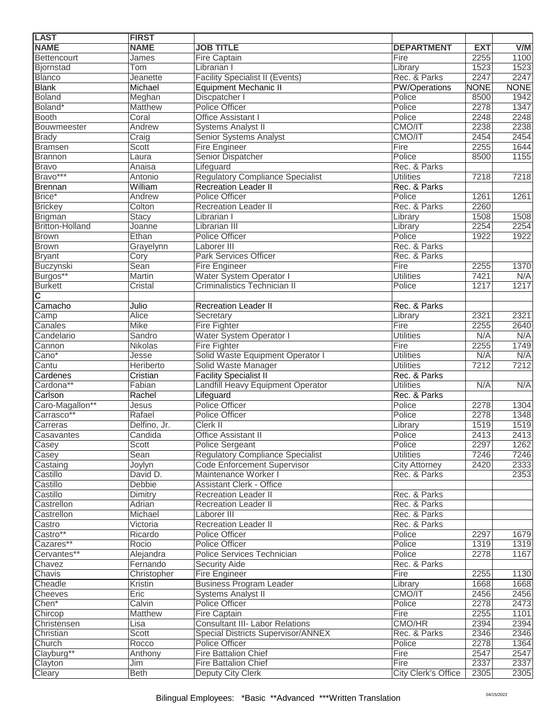| <b>NAME</b><br><b>JOB TITLE</b><br><b>EXT</b><br>V/M<br><b>DEPARTMENT</b><br>2255<br>Bettencourt<br><b>Fire Captain</b><br>Fire<br>1100<br>James<br>1523<br>1523<br><b>Bjornstad</b><br>Tom<br>Librarian I<br>Library<br>2247<br><b>Blanco</b><br><b>Facility Specialist II (Events)</b><br>Rec. & Parks<br>2247<br>Jeanette<br><b>Blank</b><br>PW/Operations<br><b>NONE</b><br><b>NONE</b><br>Michael<br><b>Equipment Mechanic II</b><br><b>Boland</b><br>Discpatcher I<br>Police<br>8500<br>1942<br>Meghan<br>Police<br>2278<br>1347<br>Boland*<br><b>Police Officer</b><br>Matthew<br><b>Booth</b><br>Office Assistant I<br>Police<br>2248<br>2248<br>Coral<br>CMO/IT<br>2238<br>2238<br>Bouwmeester<br>Andrew<br><b>Systems Analyst II</b><br><b>Brady</b><br>CMO/IT<br>2454<br>2454<br>Craig<br>Senior Systems Analyst<br>Fire<br>2255<br>1644<br><b>Bramsen</b><br><b>Scott</b><br>Fire Engineer<br>1155<br>Police<br><b>Brannon</b><br>Senior Dispatcher<br>8500<br>Laura<br>Lifeguard<br>Rec. & Parks<br><b>Bravo</b><br>Anaisa<br>Bravo***<br><b>Regulatory Compliance Specialist</b><br><b>Utilities</b><br>7218<br>7218<br>Antonio<br>William<br><b>Recreation Leader II</b><br>Rec. & Parks<br>Brennan<br>Brice*<br><b>Police Officer</b><br>Police<br>1261<br>Andrew<br>1261<br>Rec. & Parks<br>Colton<br>2260<br><b>Brickey</b><br><b>Recreation Leader II</b><br>1508<br>1508<br>Stacy<br><b>Brigman</b><br>Librarian I<br>Library<br><b>Britton-Holland</b><br>2254<br>2254<br>Librarian III<br>Joanne<br>Library<br><b>Brown</b><br>Ethan<br>Police Officer<br>1922<br>Police<br>1922<br><b>Brown</b><br>Rec. & Parks<br>Laborer III<br>Grayelynn<br><b>Park Services Officer</b><br><b>Bryant</b><br>Rec. & Parks<br>Cory<br>Sean<br>2255<br>1370<br>Buczynski<br>Fire Engineer<br>Fire<br>Burgos**<br>Water System Operator I<br><b>Utilities</b><br>7421<br>N/A<br>Martin<br><b>Burkett</b><br>Cristal<br>Criminalistics Technician II<br>Police<br>1217<br>1217<br>$\overline{\mathsf{c}}$<br>Julio<br><b>Recreation Leader II</b><br>Rec. & Parks<br><b>Alice</b><br>2321<br>2321<br>Secretary<br>Library<br><b>Mike</b><br>Fire<br>2255<br>Canales<br>Fire Fighter<br>2640<br>N/A<br>Candelario<br>Sandro<br><b>Utilities</b><br>N/A<br>Water System Operator I<br><b>Nikolas</b><br>Fire<br>2255<br>1749<br>Cannon<br>Fire Fighter<br><b>Utilities</b><br>N/A<br>Cano*<br>Solid Waste Equipment Operator I<br>N/A<br>Jesse<br><b>Utilities</b><br>7212<br>7212<br>Cantu<br>Heriberto<br>Solid Waste Manager<br><b>Facility Specialist II</b><br>Rec. & Parks<br>Cardenes<br>Cristian<br>Cardona**<br><b>Utilities</b><br>N/A<br>Fabian<br>Landfill Heavy Equipment Operator<br>N/A<br>Carlson<br>Rachel<br>Lifeguard<br>Rec. & Parks<br>Police Officer<br>Caro-Magallon**<br>Police<br>2278<br>1304<br>Jesus<br>2278<br>1348<br>Carrasco**<br>Rafael<br>Police<br><b>Police Officer</b><br>1519<br>1519<br>Delfino, Jr.<br>Clerk II<br>Carreras<br>Library<br>Casavantes<br>Candida<br><b>Office Assistant II</b><br>Police<br>2413<br>2413<br>Police<br>2297<br>Casey<br><b>Police Sergeant</b><br>1262<br>Scott<br><b>Regulatory Compliance Specialist</b><br>Casey<br>Sean<br><b>Utilities</b><br>7246<br>7246<br>Code Enforcement Supervisor<br><b>City Attorney</b><br>2420<br>2333<br>Castaing<br>Joylyn<br>Maintenance Worker I<br>2353<br>Castillo<br>David D.<br>Rec. & Parks<br>Castillo<br>Debbie<br><b>Assistant Clerk - Office</b><br>Dimitry<br><b>Recreation Leader II</b><br>Rec. & Parks<br>Castillo<br>Castrellon<br>Rec. & Parks<br>Adrian<br><b>Recreation Leader II</b><br>Michael<br>Laborer III<br>Rec. & Parks<br>Castrellon<br>Victoria<br><b>Recreation Leader II</b><br>Rec. & Parks<br>Castro<br>Castro**<br>Police<br>1679<br>Ricardo<br><b>Police Officer</b><br>2297<br>Cazares**<br>Police<br>1319<br>Rocio<br>Police Officer<br>1319<br>Police<br>2278<br>Cervantes**<br>Alejandra<br>Police Services Technician<br>1167<br>Rec. & Parks<br>Chavez<br>Fernando<br><b>Security Aide</b><br>2255<br>1130<br>Chavis<br>Christopher<br>Fire Engineer<br>Fire<br>Cheadle<br>1668<br>Kristin<br><b>Business Program Leader</b><br>Library<br>1668<br>CMO/IT<br>Cheeves<br>Eric<br><b>Systems Analyst II</b><br>2456<br>2456<br>2278<br>Calvin<br>Police Officer<br>Police<br>2473<br><b>Matthew</b><br>Fire Captain<br>Fire<br>2255<br>1101<br><b>Consultant III- Labor Relations</b><br>CMO/HR<br>2394<br>2394<br>Lisa<br>Scott<br><b>Special Districts Supervisor/ANNEX</b><br>Rec. & Parks<br>2346<br>2346<br>2278<br>1364<br>Rocco<br>Police Officer<br>Police<br>Clayburg**<br>2547<br>2547<br><b>Fire Battalion Chief</b><br>Fire<br>Anthony<br>2337<br><b>Fire Battalion Chief</b><br>Fire<br>2337<br>Clayton<br>Jim<br><b>Beth</b><br>Deputy City Clerk<br>Cleary<br><b>City Clerk's Office</b><br>2305<br>2305 | <b>LAST</b> | <b>FIRST</b> |  |  |
|----------------------------------------------------------------------------------------------------------------------------------------------------------------------------------------------------------------------------------------------------------------------------------------------------------------------------------------------------------------------------------------------------------------------------------------------------------------------------------------------------------------------------------------------------------------------------------------------------------------------------------------------------------------------------------------------------------------------------------------------------------------------------------------------------------------------------------------------------------------------------------------------------------------------------------------------------------------------------------------------------------------------------------------------------------------------------------------------------------------------------------------------------------------------------------------------------------------------------------------------------------------------------------------------------------------------------------------------------------------------------------------------------------------------------------------------------------------------------------------------------------------------------------------------------------------------------------------------------------------------------------------------------------------------------------------------------------------------------------------------------------------------------------------------------------------------------------------------------------------------------------------------------------------------------------------------------------------------------------------------------------------------------------------------------------------------------------------------------------------------------------------------------------------------------------------------------------------------------------------------------------------------------------------------------------------------------------------------------------------------------------------------------------------------------------------------------------------------------------------------------------------------------------------------------------------------------------------------------------------------------------------------------------------------------------------------------------------------------------------------------------------------------------------------------------------------------------------------------------------------------------------------------------------------------------------------------------------------------------------------------------------------------------------------------------------------------------------------------------------------------------------------------------------------------------------------------------------------------------------------------------------------------------------------------------------------------------------------------------------------------------------------------------------------------------------------------------------------------------------------------------------------------------------------------------------------------------------------------------------------------------------------------------------------------------------------------------------------------------------------------------------------------------------------------------------------------------------------------------------------------------------------------------------------------------------------------------------------------------------------------------------------------------------------------------------------------------------------------------------------------------------------------------------------------------------------------------------------------------------------------------------------------------------------------------------------------------------------------------------------------------------------------------------------------------------------------------------------------------------------------------------------------------------------------------------------------------------------------------------------------------------------------------------------------------------------------------------------------------------------------------------------------------------------------------------------------------------------------------------------------|-------------|--------------|--|--|
|                                                                                                                                                                                                                                                                                                                                                                                                                                                                                                                                                                                                                                                                                                                                                                                                                                                                                                                                                                                                                                                                                                                                                                                                                                                                                                                                                                                                                                                                                                                                                                                                                                                                                                                                                                                                                                                                                                                                                                                                                                                                                                                                                                                                                                                                                                                                                                                                                                                                                                                                                                                                                                                                                                                                                                                                                                                                                                                                                                                                                                                                                                                                                                                                                                                                                                                                                                                                                                                                                                                                                                                                                                                                                                                                                                                                                                                                                                                                                                                                                                                                                                                                                                                                                                                                                                                                                                                                                                                                                                                                                                                                                                                                                                                                                                                                                                                                            | <b>NAME</b> |              |  |  |
|                                                                                                                                                                                                                                                                                                                                                                                                                                                                                                                                                                                                                                                                                                                                                                                                                                                                                                                                                                                                                                                                                                                                                                                                                                                                                                                                                                                                                                                                                                                                                                                                                                                                                                                                                                                                                                                                                                                                                                                                                                                                                                                                                                                                                                                                                                                                                                                                                                                                                                                                                                                                                                                                                                                                                                                                                                                                                                                                                                                                                                                                                                                                                                                                                                                                                                                                                                                                                                                                                                                                                                                                                                                                                                                                                                                                                                                                                                                                                                                                                                                                                                                                                                                                                                                                                                                                                                                                                                                                                                                                                                                                                                                                                                                                                                                                                                                                            |             |              |  |  |
|                                                                                                                                                                                                                                                                                                                                                                                                                                                                                                                                                                                                                                                                                                                                                                                                                                                                                                                                                                                                                                                                                                                                                                                                                                                                                                                                                                                                                                                                                                                                                                                                                                                                                                                                                                                                                                                                                                                                                                                                                                                                                                                                                                                                                                                                                                                                                                                                                                                                                                                                                                                                                                                                                                                                                                                                                                                                                                                                                                                                                                                                                                                                                                                                                                                                                                                                                                                                                                                                                                                                                                                                                                                                                                                                                                                                                                                                                                                                                                                                                                                                                                                                                                                                                                                                                                                                                                                                                                                                                                                                                                                                                                                                                                                                                                                                                                                                            |             |              |  |  |
|                                                                                                                                                                                                                                                                                                                                                                                                                                                                                                                                                                                                                                                                                                                                                                                                                                                                                                                                                                                                                                                                                                                                                                                                                                                                                                                                                                                                                                                                                                                                                                                                                                                                                                                                                                                                                                                                                                                                                                                                                                                                                                                                                                                                                                                                                                                                                                                                                                                                                                                                                                                                                                                                                                                                                                                                                                                                                                                                                                                                                                                                                                                                                                                                                                                                                                                                                                                                                                                                                                                                                                                                                                                                                                                                                                                                                                                                                                                                                                                                                                                                                                                                                                                                                                                                                                                                                                                                                                                                                                                                                                                                                                                                                                                                                                                                                                                                            |             |              |  |  |
|                                                                                                                                                                                                                                                                                                                                                                                                                                                                                                                                                                                                                                                                                                                                                                                                                                                                                                                                                                                                                                                                                                                                                                                                                                                                                                                                                                                                                                                                                                                                                                                                                                                                                                                                                                                                                                                                                                                                                                                                                                                                                                                                                                                                                                                                                                                                                                                                                                                                                                                                                                                                                                                                                                                                                                                                                                                                                                                                                                                                                                                                                                                                                                                                                                                                                                                                                                                                                                                                                                                                                                                                                                                                                                                                                                                                                                                                                                                                                                                                                                                                                                                                                                                                                                                                                                                                                                                                                                                                                                                                                                                                                                                                                                                                                                                                                                                                            |             |              |  |  |
|                                                                                                                                                                                                                                                                                                                                                                                                                                                                                                                                                                                                                                                                                                                                                                                                                                                                                                                                                                                                                                                                                                                                                                                                                                                                                                                                                                                                                                                                                                                                                                                                                                                                                                                                                                                                                                                                                                                                                                                                                                                                                                                                                                                                                                                                                                                                                                                                                                                                                                                                                                                                                                                                                                                                                                                                                                                                                                                                                                                                                                                                                                                                                                                                                                                                                                                                                                                                                                                                                                                                                                                                                                                                                                                                                                                                                                                                                                                                                                                                                                                                                                                                                                                                                                                                                                                                                                                                                                                                                                                                                                                                                                                                                                                                                                                                                                                                            |             |              |  |  |
|                                                                                                                                                                                                                                                                                                                                                                                                                                                                                                                                                                                                                                                                                                                                                                                                                                                                                                                                                                                                                                                                                                                                                                                                                                                                                                                                                                                                                                                                                                                                                                                                                                                                                                                                                                                                                                                                                                                                                                                                                                                                                                                                                                                                                                                                                                                                                                                                                                                                                                                                                                                                                                                                                                                                                                                                                                                                                                                                                                                                                                                                                                                                                                                                                                                                                                                                                                                                                                                                                                                                                                                                                                                                                                                                                                                                                                                                                                                                                                                                                                                                                                                                                                                                                                                                                                                                                                                                                                                                                                                                                                                                                                                                                                                                                                                                                                                                            |             |              |  |  |
|                                                                                                                                                                                                                                                                                                                                                                                                                                                                                                                                                                                                                                                                                                                                                                                                                                                                                                                                                                                                                                                                                                                                                                                                                                                                                                                                                                                                                                                                                                                                                                                                                                                                                                                                                                                                                                                                                                                                                                                                                                                                                                                                                                                                                                                                                                                                                                                                                                                                                                                                                                                                                                                                                                                                                                                                                                                                                                                                                                                                                                                                                                                                                                                                                                                                                                                                                                                                                                                                                                                                                                                                                                                                                                                                                                                                                                                                                                                                                                                                                                                                                                                                                                                                                                                                                                                                                                                                                                                                                                                                                                                                                                                                                                                                                                                                                                                                            |             |              |  |  |
|                                                                                                                                                                                                                                                                                                                                                                                                                                                                                                                                                                                                                                                                                                                                                                                                                                                                                                                                                                                                                                                                                                                                                                                                                                                                                                                                                                                                                                                                                                                                                                                                                                                                                                                                                                                                                                                                                                                                                                                                                                                                                                                                                                                                                                                                                                                                                                                                                                                                                                                                                                                                                                                                                                                                                                                                                                                                                                                                                                                                                                                                                                                                                                                                                                                                                                                                                                                                                                                                                                                                                                                                                                                                                                                                                                                                                                                                                                                                                                                                                                                                                                                                                                                                                                                                                                                                                                                                                                                                                                                                                                                                                                                                                                                                                                                                                                                                            |             |              |  |  |
|                                                                                                                                                                                                                                                                                                                                                                                                                                                                                                                                                                                                                                                                                                                                                                                                                                                                                                                                                                                                                                                                                                                                                                                                                                                                                                                                                                                                                                                                                                                                                                                                                                                                                                                                                                                                                                                                                                                                                                                                                                                                                                                                                                                                                                                                                                                                                                                                                                                                                                                                                                                                                                                                                                                                                                                                                                                                                                                                                                                                                                                                                                                                                                                                                                                                                                                                                                                                                                                                                                                                                                                                                                                                                                                                                                                                                                                                                                                                                                                                                                                                                                                                                                                                                                                                                                                                                                                                                                                                                                                                                                                                                                                                                                                                                                                                                                                                            |             |              |  |  |
|                                                                                                                                                                                                                                                                                                                                                                                                                                                                                                                                                                                                                                                                                                                                                                                                                                                                                                                                                                                                                                                                                                                                                                                                                                                                                                                                                                                                                                                                                                                                                                                                                                                                                                                                                                                                                                                                                                                                                                                                                                                                                                                                                                                                                                                                                                                                                                                                                                                                                                                                                                                                                                                                                                                                                                                                                                                                                                                                                                                                                                                                                                                                                                                                                                                                                                                                                                                                                                                                                                                                                                                                                                                                                                                                                                                                                                                                                                                                                                                                                                                                                                                                                                                                                                                                                                                                                                                                                                                                                                                                                                                                                                                                                                                                                                                                                                                                            |             |              |  |  |
|                                                                                                                                                                                                                                                                                                                                                                                                                                                                                                                                                                                                                                                                                                                                                                                                                                                                                                                                                                                                                                                                                                                                                                                                                                                                                                                                                                                                                                                                                                                                                                                                                                                                                                                                                                                                                                                                                                                                                                                                                                                                                                                                                                                                                                                                                                                                                                                                                                                                                                                                                                                                                                                                                                                                                                                                                                                                                                                                                                                                                                                                                                                                                                                                                                                                                                                                                                                                                                                                                                                                                                                                                                                                                                                                                                                                                                                                                                                                                                                                                                                                                                                                                                                                                                                                                                                                                                                                                                                                                                                                                                                                                                                                                                                                                                                                                                                                            |             |              |  |  |
|                                                                                                                                                                                                                                                                                                                                                                                                                                                                                                                                                                                                                                                                                                                                                                                                                                                                                                                                                                                                                                                                                                                                                                                                                                                                                                                                                                                                                                                                                                                                                                                                                                                                                                                                                                                                                                                                                                                                                                                                                                                                                                                                                                                                                                                                                                                                                                                                                                                                                                                                                                                                                                                                                                                                                                                                                                                                                                                                                                                                                                                                                                                                                                                                                                                                                                                                                                                                                                                                                                                                                                                                                                                                                                                                                                                                                                                                                                                                                                                                                                                                                                                                                                                                                                                                                                                                                                                                                                                                                                                                                                                                                                                                                                                                                                                                                                                                            |             |              |  |  |
|                                                                                                                                                                                                                                                                                                                                                                                                                                                                                                                                                                                                                                                                                                                                                                                                                                                                                                                                                                                                                                                                                                                                                                                                                                                                                                                                                                                                                                                                                                                                                                                                                                                                                                                                                                                                                                                                                                                                                                                                                                                                                                                                                                                                                                                                                                                                                                                                                                                                                                                                                                                                                                                                                                                                                                                                                                                                                                                                                                                                                                                                                                                                                                                                                                                                                                                                                                                                                                                                                                                                                                                                                                                                                                                                                                                                                                                                                                                                                                                                                                                                                                                                                                                                                                                                                                                                                                                                                                                                                                                                                                                                                                                                                                                                                                                                                                                                            |             |              |  |  |
|                                                                                                                                                                                                                                                                                                                                                                                                                                                                                                                                                                                                                                                                                                                                                                                                                                                                                                                                                                                                                                                                                                                                                                                                                                                                                                                                                                                                                                                                                                                                                                                                                                                                                                                                                                                                                                                                                                                                                                                                                                                                                                                                                                                                                                                                                                                                                                                                                                                                                                                                                                                                                                                                                                                                                                                                                                                                                                                                                                                                                                                                                                                                                                                                                                                                                                                                                                                                                                                                                                                                                                                                                                                                                                                                                                                                                                                                                                                                                                                                                                                                                                                                                                                                                                                                                                                                                                                                                                                                                                                                                                                                                                                                                                                                                                                                                                                                            |             |              |  |  |
|                                                                                                                                                                                                                                                                                                                                                                                                                                                                                                                                                                                                                                                                                                                                                                                                                                                                                                                                                                                                                                                                                                                                                                                                                                                                                                                                                                                                                                                                                                                                                                                                                                                                                                                                                                                                                                                                                                                                                                                                                                                                                                                                                                                                                                                                                                                                                                                                                                                                                                                                                                                                                                                                                                                                                                                                                                                                                                                                                                                                                                                                                                                                                                                                                                                                                                                                                                                                                                                                                                                                                                                                                                                                                                                                                                                                                                                                                                                                                                                                                                                                                                                                                                                                                                                                                                                                                                                                                                                                                                                                                                                                                                                                                                                                                                                                                                                                            |             |              |  |  |
|                                                                                                                                                                                                                                                                                                                                                                                                                                                                                                                                                                                                                                                                                                                                                                                                                                                                                                                                                                                                                                                                                                                                                                                                                                                                                                                                                                                                                                                                                                                                                                                                                                                                                                                                                                                                                                                                                                                                                                                                                                                                                                                                                                                                                                                                                                                                                                                                                                                                                                                                                                                                                                                                                                                                                                                                                                                                                                                                                                                                                                                                                                                                                                                                                                                                                                                                                                                                                                                                                                                                                                                                                                                                                                                                                                                                                                                                                                                                                                                                                                                                                                                                                                                                                                                                                                                                                                                                                                                                                                                                                                                                                                                                                                                                                                                                                                                                            |             |              |  |  |
|                                                                                                                                                                                                                                                                                                                                                                                                                                                                                                                                                                                                                                                                                                                                                                                                                                                                                                                                                                                                                                                                                                                                                                                                                                                                                                                                                                                                                                                                                                                                                                                                                                                                                                                                                                                                                                                                                                                                                                                                                                                                                                                                                                                                                                                                                                                                                                                                                                                                                                                                                                                                                                                                                                                                                                                                                                                                                                                                                                                                                                                                                                                                                                                                                                                                                                                                                                                                                                                                                                                                                                                                                                                                                                                                                                                                                                                                                                                                                                                                                                                                                                                                                                                                                                                                                                                                                                                                                                                                                                                                                                                                                                                                                                                                                                                                                                                                            |             |              |  |  |
|                                                                                                                                                                                                                                                                                                                                                                                                                                                                                                                                                                                                                                                                                                                                                                                                                                                                                                                                                                                                                                                                                                                                                                                                                                                                                                                                                                                                                                                                                                                                                                                                                                                                                                                                                                                                                                                                                                                                                                                                                                                                                                                                                                                                                                                                                                                                                                                                                                                                                                                                                                                                                                                                                                                                                                                                                                                                                                                                                                                                                                                                                                                                                                                                                                                                                                                                                                                                                                                                                                                                                                                                                                                                                                                                                                                                                                                                                                                                                                                                                                                                                                                                                                                                                                                                                                                                                                                                                                                                                                                                                                                                                                                                                                                                                                                                                                                                            |             |              |  |  |
|                                                                                                                                                                                                                                                                                                                                                                                                                                                                                                                                                                                                                                                                                                                                                                                                                                                                                                                                                                                                                                                                                                                                                                                                                                                                                                                                                                                                                                                                                                                                                                                                                                                                                                                                                                                                                                                                                                                                                                                                                                                                                                                                                                                                                                                                                                                                                                                                                                                                                                                                                                                                                                                                                                                                                                                                                                                                                                                                                                                                                                                                                                                                                                                                                                                                                                                                                                                                                                                                                                                                                                                                                                                                                                                                                                                                                                                                                                                                                                                                                                                                                                                                                                                                                                                                                                                                                                                                                                                                                                                                                                                                                                                                                                                                                                                                                                                                            |             |              |  |  |
|                                                                                                                                                                                                                                                                                                                                                                                                                                                                                                                                                                                                                                                                                                                                                                                                                                                                                                                                                                                                                                                                                                                                                                                                                                                                                                                                                                                                                                                                                                                                                                                                                                                                                                                                                                                                                                                                                                                                                                                                                                                                                                                                                                                                                                                                                                                                                                                                                                                                                                                                                                                                                                                                                                                                                                                                                                                                                                                                                                                                                                                                                                                                                                                                                                                                                                                                                                                                                                                                                                                                                                                                                                                                                                                                                                                                                                                                                                                                                                                                                                                                                                                                                                                                                                                                                                                                                                                                                                                                                                                                                                                                                                                                                                                                                                                                                                                                            |             |              |  |  |
|                                                                                                                                                                                                                                                                                                                                                                                                                                                                                                                                                                                                                                                                                                                                                                                                                                                                                                                                                                                                                                                                                                                                                                                                                                                                                                                                                                                                                                                                                                                                                                                                                                                                                                                                                                                                                                                                                                                                                                                                                                                                                                                                                                                                                                                                                                                                                                                                                                                                                                                                                                                                                                                                                                                                                                                                                                                                                                                                                                                                                                                                                                                                                                                                                                                                                                                                                                                                                                                                                                                                                                                                                                                                                                                                                                                                                                                                                                                                                                                                                                                                                                                                                                                                                                                                                                                                                                                                                                                                                                                                                                                                                                                                                                                                                                                                                                                                            |             |              |  |  |
|                                                                                                                                                                                                                                                                                                                                                                                                                                                                                                                                                                                                                                                                                                                                                                                                                                                                                                                                                                                                                                                                                                                                                                                                                                                                                                                                                                                                                                                                                                                                                                                                                                                                                                                                                                                                                                                                                                                                                                                                                                                                                                                                                                                                                                                                                                                                                                                                                                                                                                                                                                                                                                                                                                                                                                                                                                                                                                                                                                                                                                                                                                                                                                                                                                                                                                                                                                                                                                                                                                                                                                                                                                                                                                                                                                                                                                                                                                                                                                                                                                                                                                                                                                                                                                                                                                                                                                                                                                                                                                                                                                                                                                                                                                                                                                                                                                                                            |             |              |  |  |
|                                                                                                                                                                                                                                                                                                                                                                                                                                                                                                                                                                                                                                                                                                                                                                                                                                                                                                                                                                                                                                                                                                                                                                                                                                                                                                                                                                                                                                                                                                                                                                                                                                                                                                                                                                                                                                                                                                                                                                                                                                                                                                                                                                                                                                                                                                                                                                                                                                                                                                                                                                                                                                                                                                                                                                                                                                                                                                                                                                                                                                                                                                                                                                                                                                                                                                                                                                                                                                                                                                                                                                                                                                                                                                                                                                                                                                                                                                                                                                                                                                                                                                                                                                                                                                                                                                                                                                                                                                                                                                                                                                                                                                                                                                                                                                                                                                                                            |             |              |  |  |
|                                                                                                                                                                                                                                                                                                                                                                                                                                                                                                                                                                                                                                                                                                                                                                                                                                                                                                                                                                                                                                                                                                                                                                                                                                                                                                                                                                                                                                                                                                                                                                                                                                                                                                                                                                                                                                                                                                                                                                                                                                                                                                                                                                                                                                                                                                                                                                                                                                                                                                                                                                                                                                                                                                                                                                                                                                                                                                                                                                                                                                                                                                                                                                                                                                                                                                                                                                                                                                                                                                                                                                                                                                                                                                                                                                                                                                                                                                                                                                                                                                                                                                                                                                                                                                                                                                                                                                                                                                                                                                                                                                                                                                                                                                                                                                                                                                                                            |             |              |  |  |
|                                                                                                                                                                                                                                                                                                                                                                                                                                                                                                                                                                                                                                                                                                                                                                                                                                                                                                                                                                                                                                                                                                                                                                                                                                                                                                                                                                                                                                                                                                                                                                                                                                                                                                                                                                                                                                                                                                                                                                                                                                                                                                                                                                                                                                                                                                                                                                                                                                                                                                                                                                                                                                                                                                                                                                                                                                                                                                                                                                                                                                                                                                                                                                                                                                                                                                                                                                                                                                                                                                                                                                                                                                                                                                                                                                                                                                                                                                                                                                                                                                                                                                                                                                                                                                                                                                                                                                                                                                                                                                                                                                                                                                                                                                                                                                                                                                                                            |             |              |  |  |
|                                                                                                                                                                                                                                                                                                                                                                                                                                                                                                                                                                                                                                                                                                                                                                                                                                                                                                                                                                                                                                                                                                                                                                                                                                                                                                                                                                                                                                                                                                                                                                                                                                                                                                                                                                                                                                                                                                                                                                                                                                                                                                                                                                                                                                                                                                                                                                                                                                                                                                                                                                                                                                                                                                                                                                                                                                                                                                                                                                                                                                                                                                                                                                                                                                                                                                                                                                                                                                                                                                                                                                                                                                                                                                                                                                                                                                                                                                                                                                                                                                                                                                                                                                                                                                                                                                                                                                                                                                                                                                                                                                                                                                                                                                                                                                                                                                                                            |             |              |  |  |
|                                                                                                                                                                                                                                                                                                                                                                                                                                                                                                                                                                                                                                                                                                                                                                                                                                                                                                                                                                                                                                                                                                                                                                                                                                                                                                                                                                                                                                                                                                                                                                                                                                                                                                                                                                                                                                                                                                                                                                                                                                                                                                                                                                                                                                                                                                                                                                                                                                                                                                                                                                                                                                                                                                                                                                                                                                                                                                                                                                                                                                                                                                                                                                                                                                                                                                                                                                                                                                                                                                                                                                                                                                                                                                                                                                                                                                                                                                                                                                                                                                                                                                                                                                                                                                                                                                                                                                                                                                                                                                                                                                                                                                                                                                                                                                                                                                                                            | Camacho     |              |  |  |
|                                                                                                                                                                                                                                                                                                                                                                                                                                                                                                                                                                                                                                                                                                                                                                                                                                                                                                                                                                                                                                                                                                                                                                                                                                                                                                                                                                                                                                                                                                                                                                                                                                                                                                                                                                                                                                                                                                                                                                                                                                                                                                                                                                                                                                                                                                                                                                                                                                                                                                                                                                                                                                                                                                                                                                                                                                                                                                                                                                                                                                                                                                                                                                                                                                                                                                                                                                                                                                                                                                                                                                                                                                                                                                                                                                                                                                                                                                                                                                                                                                                                                                                                                                                                                                                                                                                                                                                                                                                                                                                                                                                                                                                                                                                                                                                                                                                                            | Camp        |              |  |  |
|                                                                                                                                                                                                                                                                                                                                                                                                                                                                                                                                                                                                                                                                                                                                                                                                                                                                                                                                                                                                                                                                                                                                                                                                                                                                                                                                                                                                                                                                                                                                                                                                                                                                                                                                                                                                                                                                                                                                                                                                                                                                                                                                                                                                                                                                                                                                                                                                                                                                                                                                                                                                                                                                                                                                                                                                                                                                                                                                                                                                                                                                                                                                                                                                                                                                                                                                                                                                                                                                                                                                                                                                                                                                                                                                                                                                                                                                                                                                                                                                                                                                                                                                                                                                                                                                                                                                                                                                                                                                                                                                                                                                                                                                                                                                                                                                                                                                            |             |              |  |  |
|                                                                                                                                                                                                                                                                                                                                                                                                                                                                                                                                                                                                                                                                                                                                                                                                                                                                                                                                                                                                                                                                                                                                                                                                                                                                                                                                                                                                                                                                                                                                                                                                                                                                                                                                                                                                                                                                                                                                                                                                                                                                                                                                                                                                                                                                                                                                                                                                                                                                                                                                                                                                                                                                                                                                                                                                                                                                                                                                                                                                                                                                                                                                                                                                                                                                                                                                                                                                                                                                                                                                                                                                                                                                                                                                                                                                                                                                                                                                                                                                                                                                                                                                                                                                                                                                                                                                                                                                                                                                                                                                                                                                                                                                                                                                                                                                                                                                            |             |              |  |  |
|                                                                                                                                                                                                                                                                                                                                                                                                                                                                                                                                                                                                                                                                                                                                                                                                                                                                                                                                                                                                                                                                                                                                                                                                                                                                                                                                                                                                                                                                                                                                                                                                                                                                                                                                                                                                                                                                                                                                                                                                                                                                                                                                                                                                                                                                                                                                                                                                                                                                                                                                                                                                                                                                                                                                                                                                                                                                                                                                                                                                                                                                                                                                                                                                                                                                                                                                                                                                                                                                                                                                                                                                                                                                                                                                                                                                                                                                                                                                                                                                                                                                                                                                                                                                                                                                                                                                                                                                                                                                                                                                                                                                                                                                                                                                                                                                                                                                            |             |              |  |  |
|                                                                                                                                                                                                                                                                                                                                                                                                                                                                                                                                                                                                                                                                                                                                                                                                                                                                                                                                                                                                                                                                                                                                                                                                                                                                                                                                                                                                                                                                                                                                                                                                                                                                                                                                                                                                                                                                                                                                                                                                                                                                                                                                                                                                                                                                                                                                                                                                                                                                                                                                                                                                                                                                                                                                                                                                                                                                                                                                                                                                                                                                                                                                                                                                                                                                                                                                                                                                                                                                                                                                                                                                                                                                                                                                                                                                                                                                                                                                                                                                                                                                                                                                                                                                                                                                                                                                                                                                                                                                                                                                                                                                                                                                                                                                                                                                                                                                            |             |              |  |  |
|                                                                                                                                                                                                                                                                                                                                                                                                                                                                                                                                                                                                                                                                                                                                                                                                                                                                                                                                                                                                                                                                                                                                                                                                                                                                                                                                                                                                                                                                                                                                                                                                                                                                                                                                                                                                                                                                                                                                                                                                                                                                                                                                                                                                                                                                                                                                                                                                                                                                                                                                                                                                                                                                                                                                                                                                                                                                                                                                                                                                                                                                                                                                                                                                                                                                                                                                                                                                                                                                                                                                                                                                                                                                                                                                                                                                                                                                                                                                                                                                                                                                                                                                                                                                                                                                                                                                                                                                                                                                                                                                                                                                                                                                                                                                                                                                                                                                            |             |              |  |  |
|                                                                                                                                                                                                                                                                                                                                                                                                                                                                                                                                                                                                                                                                                                                                                                                                                                                                                                                                                                                                                                                                                                                                                                                                                                                                                                                                                                                                                                                                                                                                                                                                                                                                                                                                                                                                                                                                                                                                                                                                                                                                                                                                                                                                                                                                                                                                                                                                                                                                                                                                                                                                                                                                                                                                                                                                                                                                                                                                                                                                                                                                                                                                                                                                                                                                                                                                                                                                                                                                                                                                                                                                                                                                                                                                                                                                                                                                                                                                                                                                                                                                                                                                                                                                                                                                                                                                                                                                                                                                                                                                                                                                                                                                                                                                                                                                                                                                            |             |              |  |  |
|                                                                                                                                                                                                                                                                                                                                                                                                                                                                                                                                                                                                                                                                                                                                                                                                                                                                                                                                                                                                                                                                                                                                                                                                                                                                                                                                                                                                                                                                                                                                                                                                                                                                                                                                                                                                                                                                                                                                                                                                                                                                                                                                                                                                                                                                                                                                                                                                                                                                                                                                                                                                                                                                                                                                                                                                                                                                                                                                                                                                                                                                                                                                                                                                                                                                                                                                                                                                                                                                                                                                                                                                                                                                                                                                                                                                                                                                                                                                                                                                                                                                                                                                                                                                                                                                                                                                                                                                                                                                                                                                                                                                                                                                                                                                                                                                                                                                            |             |              |  |  |
|                                                                                                                                                                                                                                                                                                                                                                                                                                                                                                                                                                                                                                                                                                                                                                                                                                                                                                                                                                                                                                                                                                                                                                                                                                                                                                                                                                                                                                                                                                                                                                                                                                                                                                                                                                                                                                                                                                                                                                                                                                                                                                                                                                                                                                                                                                                                                                                                                                                                                                                                                                                                                                                                                                                                                                                                                                                                                                                                                                                                                                                                                                                                                                                                                                                                                                                                                                                                                                                                                                                                                                                                                                                                                                                                                                                                                                                                                                                                                                                                                                                                                                                                                                                                                                                                                                                                                                                                                                                                                                                                                                                                                                                                                                                                                                                                                                                                            |             |              |  |  |
|                                                                                                                                                                                                                                                                                                                                                                                                                                                                                                                                                                                                                                                                                                                                                                                                                                                                                                                                                                                                                                                                                                                                                                                                                                                                                                                                                                                                                                                                                                                                                                                                                                                                                                                                                                                                                                                                                                                                                                                                                                                                                                                                                                                                                                                                                                                                                                                                                                                                                                                                                                                                                                                                                                                                                                                                                                                                                                                                                                                                                                                                                                                                                                                                                                                                                                                                                                                                                                                                                                                                                                                                                                                                                                                                                                                                                                                                                                                                                                                                                                                                                                                                                                                                                                                                                                                                                                                                                                                                                                                                                                                                                                                                                                                                                                                                                                                                            |             |              |  |  |
|                                                                                                                                                                                                                                                                                                                                                                                                                                                                                                                                                                                                                                                                                                                                                                                                                                                                                                                                                                                                                                                                                                                                                                                                                                                                                                                                                                                                                                                                                                                                                                                                                                                                                                                                                                                                                                                                                                                                                                                                                                                                                                                                                                                                                                                                                                                                                                                                                                                                                                                                                                                                                                                                                                                                                                                                                                                                                                                                                                                                                                                                                                                                                                                                                                                                                                                                                                                                                                                                                                                                                                                                                                                                                                                                                                                                                                                                                                                                                                                                                                                                                                                                                                                                                                                                                                                                                                                                                                                                                                                                                                                                                                                                                                                                                                                                                                                                            |             |              |  |  |
|                                                                                                                                                                                                                                                                                                                                                                                                                                                                                                                                                                                                                                                                                                                                                                                                                                                                                                                                                                                                                                                                                                                                                                                                                                                                                                                                                                                                                                                                                                                                                                                                                                                                                                                                                                                                                                                                                                                                                                                                                                                                                                                                                                                                                                                                                                                                                                                                                                                                                                                                                                                                                                                                                                                                                                                                                                                                                                                                                                                                                                                                                                                                                                                                                                                                                                                                                                                                                                                                                                                                                                                                                                                                                                                                                                                                                                                                                                                                                                                                                                                                                                                                                                                                                                                                                                                                                                                                                                                                                                                                                                                                                                                                                                                                                                                                                                                                            |             |              |  |  |
|                                                                                                                                                                                                                                                                                                                                                                                                                                                                                                                                                                                                                                                                                                                                                                                                                                                                                                                                                                                                                                                                                                                                                                                                                                                                                                                                                                                                                                                                                                                                                                                                                                                                                                                                                                                                                                                                                                                                                                                                                                                                                                                                                                                                                                                                                                                                                                                                                                                                                                                                                                                                                                                                                                                                                                                                                                                                                                                                                                                                                                                                                                                                                                                                                                                                                                                                                                                                                                                                                                                                                                                                                                                                                                                                                                                                                                                                                                                                                                                                                                                                                                                                                                                                                                                                                                                                                                                                                                                                                                                                                                                                                                                                                                                                                                                                                                                                            |             |              |  |  |
|                                                                                                                                                                                                                                                                                                                                                                                                                                                                                                                                                                                                                                                                                                                                                                                                                                                                                                                                                                                                                                                                                                                                                                                                                                                                                                                                                                                                                                                                                                                                                                                                                                                                                                                                                                                                                                                                                                                                                                                                                                                                                                                                                                                                                                                                                                                                                                                                                                                                                                                                                                                                                                                                                                                                                                                                                                                                                                                                                                                                                                                                                                                                                                                                                                                                                                                                                                                                                                                                                                                                                                                                                                                                                                                                                                                                                                                                                                                                                                                                                                                                                                                                                                                                                                                                                                                                                                                                                                                                                                                                                                                                                                                                                                                                                                                                                                                                            |             |              |  |  |
|                                                                                                                                                                                                                                                                                                                                                                                                                                                                                                                                                                                                                                                                                                                                                                                                                                                                                                                                                                                                                                                                                                                                                                                                                                                                                                                                                                                                                                                                                                                                                                                                                                                                                                                                                                                                                                                                                                                                                                                                                                                                                                                                                                                                                                                                                                                                                                                                                                                                                                                                                                                                                                                                                                                                                                                                                                                                                                                                                                                                                                                                                                                                                                                                                                                                                                                                                                                                                                                                                                                                                                                                                                                                                                                                                                                                                                                                                                                                                                                                                                                                                                                                                                                                                                                                                                                                                                                                                                                                                                                                                                                                                                                                                                                                                                                                                                                                            |             |              |  |  |
|                                                                                                                                                                                                                                                                                                                                                                                                                                                                                                                                                                                                                                                                                                                                                                                                                                                                                                                                                                                                                                                                                                                                                                                                                                                                                                                                                                                                                                                                                                                                                                                                                                                                                                                                                                                                                                                                                                                                                                                                                                                                                                                                                                                                                                                                                                                                                                                                                                                                                                                                                                                                                                                                                                                                                                                                                                                                                                                                                                                                                                                                                                                                                                                                                                                                                                                                                                                                                                                                                                                                                                                                                                                                                                                                                                                                                                                                                                                                                                                                                                                                                                                                                                                                                                                                                                                                                                                                                                                                                                                                                                                                                                                                                                                                                                                                                                                                            |             |              |  |  |
|                                                                                                                                                                                                                                                                                                                                                                                                                                                                                                                                                                                                                                                                                                                                                                                                                                                                                                                                                                                                                                                                                                                                                                                                                                                                                                                                                                                                                                                                                                                                                                                                                                                                                                                                                                                                                                                                                                                                                                                                                                                                                                                                                                                                                                                                                                                                                                                                                                                                                                                                                                                                                                                                                                                                                                                                                                                                                                                                                                                                                                                                                                                                                                                                                                                                                                                                                                                                                                                                                                                                                                                                                                                                                                                                                                                                                                                                                                                                                                                                                                                                                                                                                                                                                                                                                                                                                                                                                                                                                                                                                                                                                                                                                                                                                                                                                                                                            |             |              |  |  |
|                                                                                                                                                                                                                                                                                                                                                                                                                                                                                                                                                                                                                                                                                                                                                                                                                                                                                                                                                                                                                                                                                                                                                                                                                                                                                                                                                                                                                                                                                                                                                                                                                                                                                                                                                                                                                                                                                                                                                                                                                                                                                                                                                                                                                                                                                                                                                                                                                                                                                                                                                                                                                                                                                                                                                                                                                                                                                                                                                                                                                                                                                                                                                                                                                                                                                                                                                                                                                                                                                                                                                                                                                                                                                                                                                                                                                                                                                                                                                                                                                                                                                                                                                                                                                                                                                                                                                                                                                                                                                                                                                                                                                                                                                                                                                                                                                                                                            |             |              |  |  |
|                                                                                                                                                                                                                                                                                                                                                                                                                                                                                                                                                                                                                                                                                                                                                                                                                                                                                                                                                                                                                                                                                                                                                                                                                                                                                                                                                                                                                                                                                                                                                                                                                                                                                                                                                                                                                                                                                                                                                                                                                                                                                                                                                                                                                                                                                                                                                                                                                                                                                                                                                                                                                                                                                                                                                                                                                                                                                                                                                                                                                                                                                                                                                                                                                                                                                                                                                                                                                                                                                                                                                                                                                                                                                                                                                                                                                                                                                                                                                                                                                                                                                                                                                                                                                                                                                                                                                                                                                                                                                                                                                                                                                                                                                                                                                                                                                                                                            |             |              |  |  |
|                                                                                                                                                                                                                                                                                                                                                                                                                                                                                                                                                                                                                                                                                                                                                                                                                                                                                                                                                                                                                                                                                                                                                                                                                                                                                                                                                                                                                                                                                                                                                                                                                                                                                                                                                                                                                                                                                                                                                                                                                                                                                                                                                                                                                                                                                                                                                                                                                                                                                                                                                                                                                                                                                                                                                                                                                                                                                                                                                                                                                                                                                                                                                                                                                                                                                                                                                                                                                                                                                                                                                                                                                                                                                                                                                                                                                                                                                                                                                                                                                                                                                                                                                                                                                                                                                                                                                                                                                                                                                                                                                                                                                                                                                                                                                                                                                                                                            |             |              |  |  |
|                                                                                                                                                                                                                                                                                                                                                                                                                                                                                                                                                                                                                                                                                                                                                                                                                                                                                                                                                                                                                                                                                                                                                                                                                                                                                                                                                                                                                                                                                                                                                                                                                                                                                                                                                                                                                                                                                                                                                                                                                                                                                                                                                                                                                                                                                                                                                                                                                                                                                                                                                                                                                                                                                                                                                                                                                                                                                                                                                                                                                                                                                                                                                                                                                                                                                                                                                                                                                                                                                                                                                                                                                                                                                                                                                                                                                                                                                                                                                                                                                                                                                                                                                                                                                                                                                                                                                                                                                                                                                                                                                                                                                                                                                                                                                                                                                                                                            |             |              |  |  |
|                                                                                                                                                                                                                                                                                                                                                                                                                                                                                                                                                                                                                                                                                                                                                                                                                                                                                                                                                                                                                                                                                                                                                                                                                                                                                                                                                                                                                                                                                                                                                                                                                                                                                                                                                                                                                                                                                                                                                                                                                                                                                                                                                                                                                                                                                                                                                                                                                                                                                                                                                                                                                                                                                                                                                                                                                                                                                                                                                                                                                                                                                                                                                                                                                                                                                                                                                                                                                                                                                                                                                                                                                                                                                                                                                                                                                                                                                                                                                                                                                                                                                                                                                                                                                                                                                                                                                                                                                                                                                                                                                                                                                                                                                                                                                                                                                                                                            |             |              |  |  |
|                                                                                                                                                                                                                                                                                                                                                                                                                                                                                                                                                                                                                                                                                                                                                                                                                                                                                                                                                                                                                                                                                                                                                                                                                                                                                                                                                                                                                                                                                                                                                                                                                                                                                                                                                                                                                                                                                                                                                                                                                                                                                                                                                                                                                                                                                                                                                                                                                                                                                                                                                                                                                                                                                                                                                                                                                                                                                                                                                                                                                                                                                                                                                                                                                                                                                                                                                                                                                                                                                                                                                                                                                                                                                                                                                                                                                                                                                                                                                                                                                                                                                                                                                                                                                                                                                                                                                                                                                                                                                                                                                                                                                                                                                                                                                                                                                                                                            |             |              |  |  |
|                                                                                                                                                                                                                                                                                                                                                                                                                                                                                                                                                                                                                                                                                                                                                                                                                                                                                                                                                                                                                                                                                                                                                                                                                                                                                                                                                                                                                                                                                                                                                                                                                                                                                                                                                                                                                                                                                                                                                                                                                                                                                                                                                                                                                                                                                                                                                                                                                                                                                                                                                                                                                                                                                                                                                                                                                                                                                                                                                                                                                                                                                                                                                                                                                                                                                                                                                                                                                                                                                                                                                                                                                                                                                                                                                                                                                                                                                                                                                                                                                                                                                                                                                                                                                                                                                                                                                                                                                                                                                                                                                                                                                                                                                                                                                                                                                                                                            |             |              |  |  |
|                                                                                                                                                                                                                                                                                                                                                                                                                                                                                                                                                                                                                                                                                                                                                                                                                                                                                                                                                                                                                                                                                                                                                                                                                                                                                                                                                                                                                                                                                                                                                                                                                                                                                                                                                                                                                                                                                                                                                                                                                                                                                                                                                                                                                                                                                                                                                                                                                                                                                                                                                                                                                                                                                                                                                                                                                                                                                                                                                                                                                                                                                                                                                                                                                                                                                                                                                                                                                                                                                                                                                                                                                                                                                                                                                                                                                                                                                                                                                                                                                                                                                                                                                                                                                                                                                                                                                                                                                                                                                                                                                                                                                                                                                                                                                                                                                                                                            |             |              |  |  |
|                                                                                                                                                                                                                                                                                                                                                                                                                                                                                                                                                                                                                                                                                                                                                                                                                                                                                                                                                                                                                                                                                                                                                                                                                                                                                                                                                                                                                                                                                                                                                                                                                                                                                                                                                                                                                                                                                                                                                                                                                                                                                                                                                                                                                                                                                                                                                                                                                                                                                                                                                                                                                                                                                                                                                                                                                                                                                                                                                                                                                                                                                                                                                                                                                                                                                                                                                                                                                                                                                                                                                                                                                                                                                                                                                                                                                                                                                                                                                                                                                                                                                                                                                                                                                                                                                                                                                                                                                                                                                                                                                                                                                                                                                                                                                                                                                                                                            |             |              |  |  |
|                                                                                                                                                                                                                                                                                                                                                                                                                                                                                                                                                                                                                                                                                                                                                                                                                                                                                                                                                                                                                                                                                                                                                                                                                                                                                                                                                                                                                                                                                                                                                                                                                                                                                                                                                                                                                                                                                                                                                                                                                                                                                                                                                                                                                                                                                                                                                                                                                                                                                                                                                                                                                                                                                                                                                                                                                                                                                                                                                                                                                                                                                                                                                                                                                                                                                                                                                                                                                                                                                                                                                                                                                                                                                                                                                                                                                                                                                                                                                                                                                                                                                                                                                                                                                                                                                                                                                                                                                                                                                                                                                                                                                                                                                                                                                                                                                                                                            |             |              |  |  |
|                                                                                                                                                                                                                                                                                                                                                                                                                                                                                                                                                                                                                                                                                                                                                                                                                                                                                                                                                                                                                                                                                                                                                                                                                                                                                                                                                                                                                                                                                                                                                                                                                                                                                                                                                                                                                                                                                                                                                                                                                                                                                                                                                                                                                                                                                                                                                                                                                                                                                                                                                                                                                                                                                                                                                                                                                                                                                                                                                                                                                                                                                                                                                                                                                                                                                                                                                                                                                                                                                                                                                                                                                                                                                                                                                                                                                                                                                                                                                                                                                                                                                                                                                                                                                                                                                                                                                                                                                                                                                                                                                                                                                                                                                                                                                                                                                                                                            |             |              |  |  |
|                                                                                                                                                                                                                                                                                                                                                                                                                                                                                                                                                                                                                                                                                                                                                                                                                                                                                                                                                                                                                                                                                                                                                                                                                                                                                                                                                                                                                                                                                                                                                                                                                                                                                                                                                                                                                                                                                                                                                                                                                                                                                                                                                                                                                                                                                                                                                                                                                                                                                                                                                                                                                                                                                                                                                                                                                                                                                                                                                                                                                                                                                                                                                                                                                                                                                                                                                                                                                                                                                                                                                                                                                                                                                                                                                                                                                                                                                                                                                                                                                                                                                                                                                                                                                                                                                                                                                                                                                                                                                                                                                                                                                                                                                                                                                                                                                                                                            |             |              |  |  |
|                                                                                                                                                                                                                                                                                                                                                                                                                                                                                                                                                                                                                                                                                                                                                                                                                                                                                                                                                                                                                                                                                                                                                                                                                                                                                                                                                                                                                                                                                                                                                                                                                                                                                                                                                                                                                                                                                                                                                                                                                                                                                                                                                                                                                                                                                                                                                                                                                                                                                                                                                                                                                                                                                                                                                                                                                                                                                                                                                                                                                                                                                                                                                                                                                                                                                                                                                                                                                                                                                                                                                                                                                                                                                                                                                                                                                                                                                                                                                                                                                                                                                                                                                                                                                                                                                                                                                                                                                                                                                                                                                                                                                                                                                                                                                                                                                                                                            |             |              |  |  |
|                                                                                                                                                                                                                                                                                                                                                                                                                                                                                                                                                                                                                                                                                                                                                                                                                                                                                                                                                                                                                                                                                                                                                                                                                                                                                                                                                                                                                                                                                                                                                                                                                                                                                                                                                                                                                                                                                                                                                                                                                                                                                                                                                                                                                                                                                                                                                                                                                                                                                                                                                                                                                                                                                                                                                                                                                                                                                                                                                                                                                                                                                                                                                                                                                                                                                                                                                                                                                                                                                                                                                                                                                                                                                                                                                                                                                                                                                                                                                                                                                                                                                                                                                                                                                                                                                                                                                                                                                                                                                                                                                                                                                                                                                                                                                                                                                                                                            | Chen*       |              |  |  |
|                                                                                                                                                                                                                                                                                                                                                                                                                                                                                                                                                                                                                                                                                                                                                                                                                                                                                                                                                                                                                                                                                                                                                                                                                                                                                                                                                                                                                                                                                                                                                                                                                                                                                                                                                                                                                                                                                                                                                                                                                                                                                                                                                                                                                                                                                                                                                                                                                                                                                                                                                                                                                                                                                                                                                                                                                                                                                                                                                                                                                                                                                                                                                                                                                                                                                                                                                                                                                                                                                                                                                                                                                                                                                                                                                                                                                                                                                                                                                                                                                                                                                                                                                                                                                                                                                                                                                                                                                                                                                                                                                                                                                                                                                                                                                                                                                                                                            | Chircop     |              |  |  |
|                                                                                                                                                                                                                                                                                                                                                                                                                                                                                                                                                                                                                                                                                                                                                                                                                                                                                                                                                                                                                                                                                                                                                                                                                                                                                                                                                                                                                                                                                                                                                                                                                                                                                                                                                                                                                                                                                                                                                                                                                                                                                                                                                                                                                                                                                                                                                                                                                                                                                                                                                                                                                                                                                                                                                                                                                                                                                                                                                                                                                                                                                                                                                                                                                                                                                                                                                                                                                                                                                                                                                                                                                                                                                                                                                                                                                                                                                                                                                                                                                                                                                                                                                                                                                                                                                                                                                                                                                                                                                                                                                                                                                                                                                                                                                                                                                                                                            | Christensen |              |  |  |
|                                                                                                                                                                                                                                                                                                                                                                                                                                                                                                                                                                                                                                                                                                                                                                                                                                                                                                                                                                                                                                                                                                                                                                                                                                                                                                                                                                                                                                                                                                                                                                                                                                                                                                                                                                                                                                                                                                                                                                                                                                                                                                                                                                                                                                                                                                                                                                                                                                                                                                                                                                                                                                                                                                                                                                                                                                                                                                                                                                                                                                                                                                                                                                                                                                                                                                                                                                                                                                                                                                                                                                                                                                                                                                                                                                                                                                                                                                                                                                                                                                                                                                                                                                                                                                                                                                                                                                                                                                                                                                                                                                                                                                                                                                                                                                                                                                                                            | Christian   |              |  |  |
|                                                                                                                                                                                                                                                                                                                                                                                                                                                                                                                                                                                                                                                                                                                                                                                                                                                                                                                                                                                                                                                                                                                                                                                                                                                                                                                                                                                                                                                                                                                                                                                                                                                                                                                                                                                                                                                                                                                                                                                                                                                                                                                                                                                                                                                                                                                                                                                                                                                                                                                                                                                                                                                                                                                                                                                                                                                                                                                                                                                                                                                                                                                                                                                                                                                                                                                                                                                                                                                                                                                                                                                                                                                                                                                                                                                                                                                                                                                                                                                                                                                                                                                                                                                                                                                                                                                                                                                                                                                                                                                                                                                                                                                                                                                                                                                                                                                                            | Church      |              |  |  |
|                                                                                                                                                                                                                                                                                                                                                                                                                                                                                                                                                                                                                                                                                                                                                                                                                                                                                                                                                                                                                                                                                                                                                                                                                                                                                                                                                                                                                                                                                                                                                                                                                                                                                                                                                                                                                                                                                                                                                                                                                                                                                                                                                                                                                                                                                                                                                                                                                                                                                                                                                                                                                                                                                                                                                                                                                                                                                                                                                                                                                                                                                                                                                                                                                                                                                                                                                                                                                                                                                                                                                                                                                                                                                                                                                                                                                                                                                                                                                                                                                                                                                                                                                                                                                                                                                                                                                                                                                                                                                                                                                                                                                                                                                                                                                                                                                                                                            |             |              |  |  |
|                                                                                                                                                                                                                                                                                                                                                                                                                                                                                                                                                                                                                                                                                                                                                                                                                                                                                                                                                                                                                                                                                                                                                                                                                                                                                                                                                                                                                                                                                                                                                                                                                                                                                                                                                                                                                                                                                                                                                                                                                                                                                                                                                                                                                                                                                                                                                                                                                                                                                                                                                                                                                                                                                                                                                                                                                                                                                                                                                                                                                                                                                                                                                                                                                                                                                                                                                                                                                                                                                                                                                                                                                                                                                                                                                                                                                                                                                                                                                                                                                                                                                                                                                                                                                                                                                                                                                                                                                                                                                                                                                                                                                                                                                                                                                                                                                                                                            |             |              |  |  |
|                                                                                                                                                                                                                                                                                                                                                                                                                                                                                                                                                                                                                                                                                                                                                                                                                                                                                                                                                                                                                                                                                                                                                                                                                                                                                                                                                                                                                                                                                                                                                                                                                                                                                                                                                                                                                                                                                                                                                                                                                                                                                                                                                                                                                                                                                                                                                                                                                                                                                                                                                                                                                                                                                                                                                                                                                                                                                                                                                                                                                                                                                                                                                                                                                                                                                                                                                                                                                                                                                                                                                                                                                                                                                                                                                                                                                                                                                                                                                                                                                                                                                                                                                                                                                                                                                                                                                                                                                                                                                                                                                                                                                                                                                                                                                                                                                                                                            |             |              |  |  |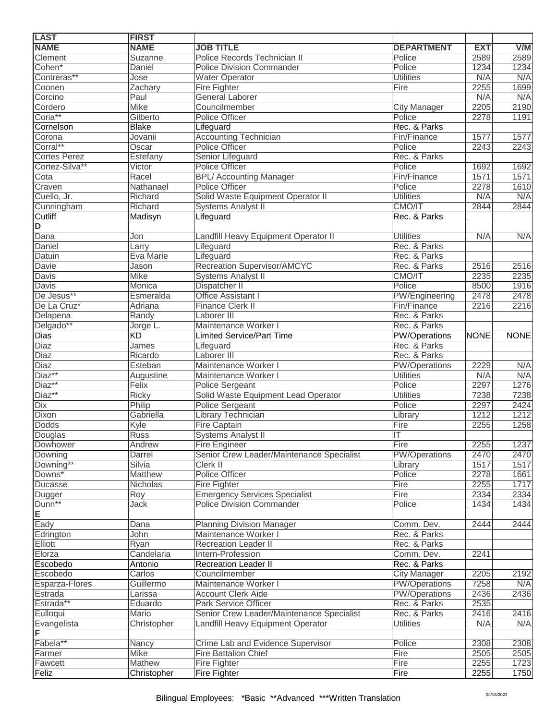| <b>LAST</b>             | <b>FIRST</b>   |                                           |                      |             |             |
|-------------------------|----------------|-------------------------------------------|----------------------|-------------|-------------|
| <b>NAME</b>             | <b>NAME</b>    | <b>JOB TITLE</b>                          | <b>DEPARTMENT</b>    | <b>EXT</b>  | V/M         |
| Clement                 | Suzanne        | Police Records Technician II              | Police               | 2589        | 2589        |
| Cohen*                  | Daniel         | <b>Police Division Commander</b>          | Police               | 1234        | 1234        |
| Contreras**             | Jose           | <b>Water Operator</b>                     | <b>Utilities</b>     | N/A         | N/A         |
| Coonen                  | Zachary        | <b>Fire Fighter</b>                       | Fire                 | 2255        | 1699        |
| Corcino                 | Paul           | <b>General Laborer</b>                    |                      | N/A         | N/A         |
| Cordero                 | <b>Mike</b>    | Councilmember                             | <b>City Manager</b>  | 2205        | 2190        |
| Coria**                 | Gilberto       | <b>Police Officer</b>                     | Police               | 2278        | 1191        |
| Cornelson               | <b>Blake</b>   | Lifeguard                                 | Rec. & Parks         |             |             |
| Corona                  | Jovanii        | <b>Accounting Technician</b>              | Fin/Finance          | 1577        | 1577        |
| Corral**                |                | <b>Police Officer</b>                     | Police               | 2243        |             |
|                         | Oscar          |                                           |                      |             | 2243        |
| <b>Cortes Perez</b>     | Estefany       | Senior Lifeguard                          | Rec. & Parks         |             |             |
| Cortez-Silva**          | Victor         | <b>Police Officer</b>                     | Police               | 1692        | 1692        |
| Cota                    | Racel          | <b>BPL/ Accounting Manager</b>            | Fin/Finance          | 1571        | 1571        |
| Craven                  | Nathanael      | Police Officer                            | Police               | 2278        | 1610        |
| Cuello, Jr.             | Richard        | Solid Waste Equipment Operator II         | <b>Utilities</b>     | N/A         | N/A         |
| Cunningham              | Richard        | <b>Systems Analyst II</b>                 | CMO/IT               | 2844        | 2844        |
| Cutliff                 | Madisyn        | Lifeguard                                 | Rec. & Parks         |             |             |
| $\overline{\mathsf{D}}$ |                |                                           |                      |             |             |
| Dana                    | Jon            | Landfill Heavy Equipment Operator II      | <b>Utilities</b>     | N/A         | N/A         |
| Daniel                  | Larry          | Lifeguard                                 | Rec. & Parks         |             |             |
| Datuin                  | Eva Marie      | Lifeguard                                 | Rec. & Parks         |             |             |
| <b>Davie</b>            | Jason          | Recreation Supervisor/AMCYC               | Rec. & Parks         | 2516        | 2516        |
| <b>Davis</b>            | <b>Mike</b>    | <b>Systems Analyst II</b>                 | CMO/IT               | 2235        | 2235        |
| <b>Davis</b>            | Monica         | Dispatcher II                             | Police               | 8500        | 1916        |
| De Jesus**              | Esmeralda      | <b>Office Assistant I</b>                 | PW/Engineering       | 2478        | 2478        |
| De La Cruz*             | Adriana        | <b>Finance Clerk II</b>                   | Fin/Finance          | 2216        | 2216        |
| Delapena                | Randy          | Laborer III                               | Rec. & Parks         |             |             |
| Delgado**               | Jorge L.       | Maintenance Worker I                      | Rec. & Parks         |             |             |
| <b>Dias</b>             | <b>KD</b>      | <b>Limited Service/Part Time</b>          | PW/Operations        | <b>NONE</b> | <b>NONE</b> |
| Diaz                    | James          | Lifeguard                                 | Rec. & Parks         |             |             |
| Diaz                    | Ricardo        | Laborer III                               | Rec. & Parks         |             |             |
| <b>Diaz</b>             | Esteban        | Maintenance Worker I                      | <b>PW/Operations</b> | 2229        | N/A         |
| Diaz**                  | Augustine      | Maintenance Worker I                      | <b>Utilities</b>     | N/A         | N/A         |
| Diaz**                  | Felix          | <b>Police Sergeant</b>                    | Police               | 2297        | 1276        |
| Diaz**                  | <b>Ricky</b>   | Solid Waste Equipment Lead Operator       | <b>Utilities</b>     | 7238        | 7238        |
| Dix                     | Philip         |                                           | Police               | 2297        | 2424        |
|                         |                | <b>Police Sergeant</b>                    |                      |             |             |
| Dixon                   | Gabriella      | <b>Library Technician</b>                 | Library              | 1212        | 1212        |
| <b>Dodds</b>            | Kyle           | Fire Captain                              | Fire                 | 2255        | 1258        |
| Douglas                 | <b>Russ</b>    | <b>Systems Analyst II</b>                 | IT                   |             |             |
| Dowhower                | Andrew         | Fire Engineer                             | Fire                 | 2255        | 1237        |
| Downing                 | Darrel         | Senior Crew Leader/Maintenance Specialist | <b>PW/Operations</b> | 2470        | 2470        |
| Downing**               | Silvia         | Clerk II                                  | Library              | 1517        | 1517        |
| Downs*                  | <b>Matthew</b> | <b>Police Officer</b>                     | Police               | 2278        | 1661        |
| Ducasse                 | Nicholas       | Fire Fighter                              | Fire                 | 2255        | 1717        |
| Dugger                  | Roy            | <b>Emergency Services Specialist</b>      | Fire                 | 2334        | 2334        |
| Dunn**                  | Jack           | <b>Police Division Commander</b>          | Police               | 1434        | 1434        |
| E                       |                |                                           |                      |             |             |
| Eady                    | Dana           | <b>Planning Division Manager</b>          | Comm. Dev.           | 2444        | 2444        |
| Edrington               | John           | Maintenance Worker I                      | Rec. & Parks         |             |             |
| Elliott                 | Ryan           | <b>Recreation Leader II</b>               | Rec. & Parks         |             |             |
| Elorza                  | Candelaria     | Intern-Profession                         | Comm. Dev.           | 2241        |             |
| Escobedo                | Antonio        | <b>Recreation Leader II</b>               | Rec. & Parks         |             |             |
| Escobedo                | Carlos         | Councilmember                             | <b>City Manager</b>  | 2205        | 2192        |
| Esparza-Flores          | Guillermo      | Maintenance Worker I                      | PW/Operations        | 7258        | N/A         |
| Estrada                 | Larissa        | <b>Account Clerk Aide</b>                 | PW/Operations        | 2436        | 2436        |
| Estrada**               | Eduardo        | Park Service Officer                      | Rec. & Parks         | 2535        |             |
|                         | Mario          |                                           | Rec. & Parks         | 2416        | 2416        |
| Eulloqui                |                | Senior Crew Leader/Maintenance Specialist |                      |             |             |
| Evangelista             | Christopher    | Landfill Heavy Equipment Operator         | <b>Utilities</b>     | N/A         | N/A         |
| IF                      |                |                                           |                      |             |             |
| Fabela**                | Nancy          | Crime Lab and Evidence Supervisor         | Police               | 2308        | 2308        |
| Farmer                  | Mike           | <b>Fire Battalion Chief</b>               | Fire                 | 2505        | 2505        |
| Fawcett                 | Mathew         | Fire Fighter                              | Fire                 | 2255        | 1723        |
| Feliz                   | Christopher    | Fire Fighter                              | Fire                 | 2255        | 1750        |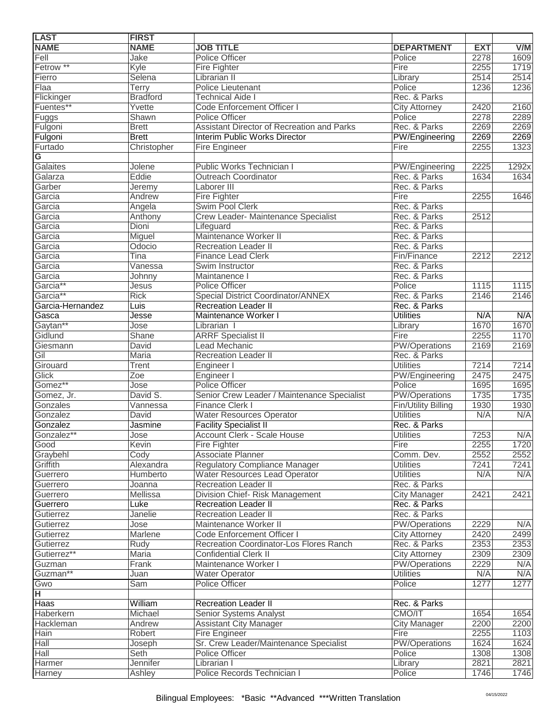| <b>LAST</b>             | <b>FIRST</b>    |                                             |                      |            |       |
|-------------------------|-----------------|---------------------------------------------|----------------------|------------|-------|
| <b>NAME</b>             | <b>NAME</b>     | <b>JOB TITLE</b>                            | <b>DEPARTMENT</b>    | <b>EXT</b> | V/M   |
| Fell                    | Jake            | <b>Police Officer</b>                       | Police               | 2278       | 1609  |
| Fetrow **               | Kyle            | <b>Fire Fighter</b>                         | Fire                 | 2255       | 1719  |
| Fierro                  | Selena          | Librarian II                                | Library              | 2514       | 2514  |
| Flaa                    | Terry           | Police Lieutenant                           | Police               | 1236       | 1236  |
| Flickinger              | <b>Bradford</b> | <b>Technical Aide I</b>                     | Rec. & Parks         |            |       |
| Fuentes**               | Yvette          | <b>Code Enforcement Officer I</b>           | <b>City Attorney</b> | 2420       | 2160  |
| Fuggs                   | Shawn           | <b>Police Officer</b>                       | Police               | 2278       | 2289  |
| Fulgoni                 | <b>Brett</b>    | Assistant Director of Recreation and Parks  | Rec. & Parks         | 2269       | 2269  |
| Fulgoni                 | <b>Brett</b>    | <b>Interim Public Works Director</b>        | PW/Engineering       | 2269       | 2269  |
| Furtado                 | Christopher     | Fire Engineer                               | Fire                 | 2255       | 1323  |
| G                       |                 |                                             |                      |            |       |
| Galaites                |                 |                                             |                      | 2225       |       |
| Galarza                 | Jolene<br>Eddie | Public Works Technician I                   | PW/Engineering       |            | 1292x |
|                         |                 | <b>Outreach Coordinator</b>                 | Rec. & Parks         | 1634       | 1634  |
| Garber                  | Jeremy          | Laborer III                                 | Rec. & Parks         |            |       |
| Garcia                  | Andrew          | Fire Fighter                                | Fire                 | 2255       | 1646  |
| Garcia                  | Angela          | Swim Pool Clerk                             | Rec. & Parks         |            |       |
| Garcia                  | Anthony         | Crew Leader- Maintenance Specialist         | Rec. & Parks         | 2512       |       |
| Garcia                  | Dioni           | Lifeguard                                   | Rec. & Parks         |            |       |
| Garcia                  | Miguel          | Maintenance Worker II                       | Rec. & Parks         |            |       |
| Garcia                  | Odocio          | <b>Recreation Leader II</b>                 | Rec. & Parks         |            |       |
| Garcia                  | Tina            | <b>Finance Lead Clerk</b>                   | Fin/Finance          | 2212       | 2212  |
| Garcia                  | Vanessa         | Swim Instructor                             | Rec. & Parks         |            |       |
| Garcia                  | Johnny          | Maintanence I                               | Rec. & Parks         |            |       |
| Garcia**                | Jesus           | <b>Police Officer</b>                       | Police               | 1115       | 1115  |
| Garcia**                | <b>Rick</b>     | Special District Coordinator/ANNEX          | Rec. & Parks         | 2146       | 2146  |
| Garcia-Hernandez        | Luis            | <b>Recreation Leader II</b>                 | Rec. & Parks         |            |       |
| Gasca                   | Jesse           | Maintenance Worker I                        | <b>Utilities</b>     | N/A        | N/A   |
| Gaytan**                | Jose            | Librarian I                                 | Library              | 1670       | 1670  |
| Gidlund                 | Shane           | <b>ARRF Specialist II</b>                   | Fire                 | 2255       | 1170  |
| Giesmann                | David           | <b>Lead Mechanic</b>                        | <b>PW/Operations</b> | 2169       | 2169  |
| <b>Gil</b>              | Maria           | <b>Recreation Leader II</b>                 | Rec. & Parks         |            |       |
| Girouard                | Trent           | Engineer I                                  | <b>Utilities</b>     | 7214       | 7214  |
| Glick                   | Zoe             | Engineer I                                  | PW/Engineering       | 2475       | 2475  |
| Gomez**                 | Jose            | <b>Police Officer</b>                       | Police               | 1695       | 1695  |
| Gomez, Jr.              | David S.        | Senior Crew Leader / Maintenance Specialist | <b>PW/Operations</b> | 1735       | 1735  |
| Gonzales                | Vannessa        | <b>Finance Clerk I</b>                      | Fin/Utility Billing  | 1930       | 1930  |
| Gonzalez                | David           | <b>Water Resources Operator</b>             | <b>Utilities</b>     | N/A        | N/A   |
|                         |                 |                                             |                      |            |       |
| Gonzalez                | Jasmine         | <b>Facility Specialist II</b>               | Rec. & Parks         |            |       |
| Gonzalez**              | Jose            | <b>Account Clerk - Scale House</b>          | <b>Utilities</b>     | 7253       | N/A   |
| Good                    | Kevin           | Fire Fighter                                | Fire                 | 2255       | 1720  |
| Graybehl                | Cody            | <b>Associate Planner</b>                    | Comm. Dev.           | 2552       | 2552  |
| Griffith                | Alexandra       | <b>Regulatory Compliance Manager</b>        | <b>Utilities</b>     | 7241       | 7241  |
| Guerrero                | Humberto        | <b>Water Resources Lead Operator</b>        | <b>Utilities</b>     | N/A        | N/A   |
| Guerrero                | Joanna          | <b>Recreation Leader II</b>                 | Rec. & Parks         |            |       |
| Guerrero                | Mellissa        | Division Chief- Risk Management             | <b>City Manager</b>  | 2421       | 2421  |
| Guerrero                | Luke            | <b>Recreation Leader II</b>                 | Rec. & Parks         |            |       |
| Gutierrez               | Janelie         | <b>Recreation Leader II</b>                 | Rec. & Parks         |            |       |
| Gutierrez               | Jose            | Maintenance Worker II                       | PW/Operations        | 2229       | N/A   |
| Gutierrez               | Marlene         | Code Enforcement Officer I                  | <b>City Attorney</b> | 2420       | 2499  |
| Gutierrez               | Rudy            | Recreation Coordinator-Los Flores Ranch     | Rec. & Parks         | 2353       | 2353  |
| Gutierrez**             | Maria           | <b>Confidential Clerk II</b>                | <b>City Attorney</b> | 2309       | 2309  |
| Guzman                  | Frank           | Maintenance Worker I                        | <b>PW/Operations</b> | 2229       | N/A   |
| Guzman**                | Juan            | <b>Water Operator</b>                       | <b>Utilities</b>     | N/A        | N/A   |
| Gwo                     | Sam             | Police Officer                              | Police               | 1277       | 1277  |
| $\overline{\mathsf{H}}$ |                 |                                             |                      |            |       |
| Haas                    | William         | <b>Recreation Leader II</b>                 | Rec. & Parks         |            |       |
| Haberkern               | Michael         | Senior Systems Analyst                      | CMO/IT               | 1654       | 1654  |
| Hackleman               | Andrew          | <b>Assistant City Manager</b>               | City Manager         | 2200       | 2200  |
| Hain                    | Robert          | Fire Engineer                               | Fire                 | 2255       | 1103  |
| Hall                    |                 | Sr. Crew Leader/Maintenance Specialist      | PW/Operations        | 1624       | 1624  |
|                         | Joseph          |                                             | Police               |            |       |
| Hall                    | Seth            | Police Officer                              |                      | 1308       | 1308  |
| Harmer                  | Jennifer        | Librarian I                                 | Library              | 2821       | 2821  |
| Harney                  | Ashley          | Police Records Technician I                 | Police               | 1746       | 1746  |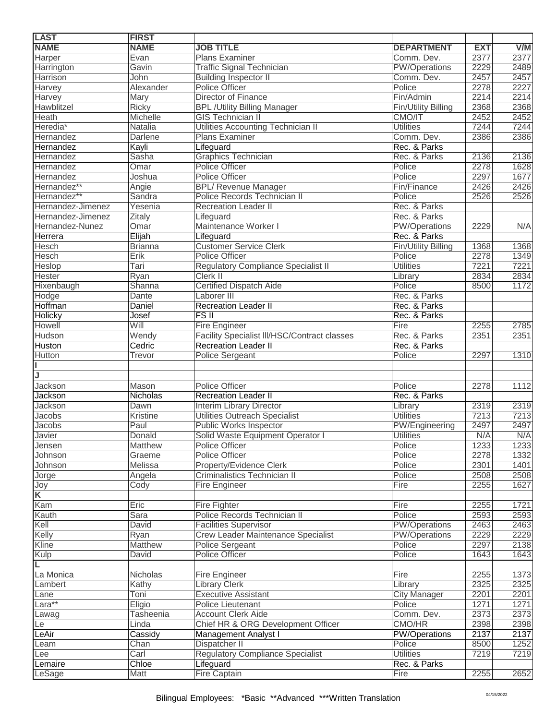| <b>LAST</b><br><b>FIRST</b>                                                                      |            |      |
|--------------------------------------------------------------------------------------------------|------------|------|
| <b>NAME</b><br><b>NAME</b><br><b>JOB TITLE</b><br><b>DEPARTMENT</b>                              | <b>EXT</b> | V/M  |
| Harper<br><b>Plans Examiner</b><br>Comm. Dev.<br>Evan                                            | 2377       | 2377 |
| Harrington<br><b>Traffic Signal Technician</b><br><b>PW/Operations</b><br>Gavin                  | 2229       | 2489 |
| Harrison<br><b>Building Inspector II</b><br>Comm. Dev.<br>John                                   | 2457       | 2457 |
| Harvey<br><b>Police Officer</b><br>Police<br>Alexander                                           | 2278       | 2227 |
| Harvey<br><b>Director of Finance</b><br>Fin/Admin<br>Mary                                        | 2214       | 2214 |
| <b>Hawblitzel</b><br><b>BPL / Utility Billing Manager</b><br>Fin/Utility Billing<br><b>Ricky</b> | 2368       | 2368 |
| <b>Heath</b><br>Michelle<br><b>GIS Technician II</b><br>CMO/IT                                   | 2452       | 2452 |
| Heredia*<br><b>Utilities Accounting Technician II</b><br><b>Utilities</b><br>Natalia             | 7244       | 7244 |
| Hernandez<br>Plans Examiner<br>Darlene<br>Comm. Dev.                                             | 2386       | 2386 |
| Hernandez<br>Lifeguard<br>Rec. & Parks<br>Kayli                                                  |            |      |
| Hernandez<br><b>Graphics Technician</b><br>Sasha<br>Rec. & Parks                                 | 2136       | 2136 |
| <b>Police Officer</b><br>Police<br>Hernandez<br>Omar                                             | 2278       | 1628 |
| <b>Police Officer</b><br>Police<br>Hernandez<br>Joshua                                           | 2297       | 1677 |
| Hernandez**<br>Fin/Finance                                                                       | 2426       | 2426 |
| <b>BPL/ Revenue Manager</b><br>Angie<br>Sandra                                                   |            |      |
| Hernandez**<br>Police Records Technician II<br>Police                                            | 2526       | 2526 |
| Rec. & Parks<br>Hernandez-Jimenez<br>Yesenia<br><b>Recreation Leader II</b>                      |            |      |
| Hernandez-Jimenez<br>Zitaly<br>Rec. & Parks<br>Lifeguard                                         |            |      |
| Maintenance Worker I<br>Hernandez-Nunez<br><b>PW/Operations</b><br>Omar                          | 2229       | N/A  |
| Herrera<br>Elijah<br>Rec. & Parks<br>Lifeguard                                                   |            |      |
| <b>Hesch</b><br><b>Customer Service Clerk</b><br><b>Fin/Utility Billing</b><br><b>Brianna</b>    | 1368       | 1368 |
| <b>Hesch</b><br><b>Police Officer</b><br>Erik<br>Police                                          | 2278       | 1349 |
| Heslop<br><b>Utilities</b><br><b>Regulatory Compliance Specialist II</b><br>Tari                 | 7221       | 7221 |
| <b>Hester</b><br>Clerk II<br>Ryan<br>Library                                                     | 2834       | 2834 |
| Hixenbaugh<br><b>Certified Dispatch Aide</b><br>Police<br>Shanna                                 | 8500       | 1172 |
| Hodge<br>Laborer III<br>Rec. & Parks<br>Dante                                                    |            |      |
| Hoffman<br>Daniel<br><b>Recreation Leader II</b><br>Rec. & Parks                                 |            |      |
| <b>Holicky</b><br>FS <sub>II</sub><br>Josef<br>Rec. & Parks                                      |            |      |
| Will<br>Howell<br>Fire Engineer<br>Fire                                                          | 2255       | 2785 |
| Hudson<br>Wendy<br><b>Facility Specialist III/HSC/Contract classes</b><br>Rec. & Parks           | 2351       | 2351 |
| Cedric<br><b>Recreation Leader II</b><br>Rec. & Parks<br>Huston                                  |            |      |
| Police<br>Hutton<br>Trevor<br><b>Police Sergeant</b>                                             | 2297       | 1310 |
| L                                                                                                |            |      |
| J                                                                                                |            |      |
| Police Officer<br>Jackson<br>Police<br>Mason                                                     | 2278       | 1112 |
| <b>Jackson</b><br><b>Nicholas</b><br>Rec. & Parks<br><b>Recreation Leader II</b>                 |            |      |
| Jackson<br><b>Interim Library Director</b><br>Library<br>Dawn                                    | 2319       | 2319 |
| Jacobs<br><b>Utilities Outreach Specialist</b><br><b>Utilities</b><br>Kristine                   | 7213       | 7213 |
| PW/Engineering<br>Jacobs<br>Paul<br><b>Public Works Inspector</b>                                | 2497       | 2497 |
| Javier<br>Donald<br>Solid Waste Equipment Operator I<br><b>Utilities</b>                         | N/A        | N/A  |
| Jensen<br>Police<br><b>Matthew</b><br><b>Police Officer</b>                                      | 1233       | 1233 |
| Johnson<br><b>Police Officer</b><br>Police<br>Graeme                                             | 2278       | 1332 |
| Police<br>Johnson<br>Melissa<br><b>Property/Evidence Clerk</b>                                   | 2301       | 1401 |
| Criminalistics Technician II<br>Police                                                           | 2508       | 2508 |
| Jorge<br>Angela                                                                                  |            |      |
| Joy<br>Cody<br>Fire Engineer<br>Fire<br>$\overline{\mathsf{K}}$                                  | 2255       | 1627 |
|                                                                                                  |            |      |
| Kam<br>Fire<br>Eric<br>Fire Fighter                                                              | 2255       | 1721 |
| Kauth<br>Sara<br>Police Records Technician II<br>Police                                          | 2593       | 2593 |
| Kell<br><b>PW/Operations</b><br>David<br><b>Facilities Supervisor</b>                            | 2463       | 2463 |
| Kelly<br><b>PW/Operations</b><br><b>Crew Leader Maintenance Specialist</b><br>Ryan               | 2229       | 2229 |
| Kline<br>Matthew<br><b>Police Sergeant</b><br>Police                                             | 2297       | 2138 |
| Kulp<br>David<br><b>Police Officer</b><br>Police                                                 | 1643       | 1643 |
| $\overline{\mathsf{L}}$                                                                          |            |      |
| La Monica<br>Nicholas<br>Fire Engineer<br>Fire                                                   | 2255       | 1373 |
| Kathy<br><b>Library Clerk</b><br>Library<br>Lambert                                              | 2325       | 2325 |
| Toni<br><b>Executive Assistant</b><br><b>City Manager</b><br>Lane                                | 2201       | 2201 |
| Lara**<br>Eligio<br>Police Lieutenant<br>Police                                                  | 1271       | 1271 |
| <b>Account Clerk Aide</b><br>Comm. Dev.<br>Lawag<br>Tasheenia                                    | 2373       | 2373 |
| Chief HR & ORG Development Officer<br><b>CMO/HR</b><br>Le<br>Linda                               | 2398       | 2398 |
| Management Analyst I<br><b>PW/Operations</b><br>LeAir<br>Cassidy                                 | 2137       | 2137 |
| Dispatcher II<br>Police<br>Chan<br>-eam                                                          | 8500       | 1252 |
| Carl<br><b>Utilities</b><br><b>Regulatory Compliance Specialist</b><br>Lee                       | 7219       | 7219 |
| Rec. & Parks<br>Lemaire<br>Chloe<br>Lifeguard                                                    |            |      |
| Matt<br>Fire Captain<br>Fire<br>LeSage                                                           | 2255       | 2652 |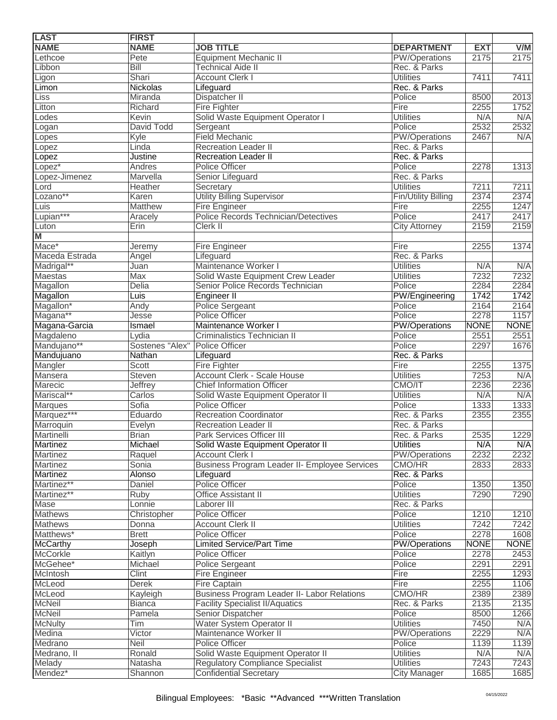| <b>LAST</b>           | <b>FIRST</b>      |                                                    |                      |             |             |
|-----------------------|-------------------|----------------------------------------------------|----------------------|-------------|-------------|
| <b>NAME</b>           | <b>NAME</b>       | <b>JOB TITLE</b>                                   | <b>DEPARTMENT</b>    | <b>EXT</b>  | V/M         |
| Lethcoe               | Pete              | <b>Equipment Mechanic II</b>                       | <b>PW/Operations</b> | 2175        | 2175        |
| Libbon                | Bill              | <b>Technical Aide II</b>                           | Rec. & Parks         |             |             |
| Ligon                 | Shari             | <b>Account Clerk I</b>                             | <b>Utilities</b>     | 7411        | 7411        |
| Limon                 | <b>Nickolas</b>   | Lifeguard                                          | Rec. & Parks         |             |             |
| Liss                  | Miranda           | Dispatcher II                                      | Police               | 8500        | 2013        |
| Litton                | Richard           | <b>Fire Fighter</b>                                | Fire                 | 2255        | 1752        |
| _odes                 | Kevin             | Solid Waste Equipment Operator I                   | <b>Utilities</b>     | N/A         | N/A         |
|                       | <b>David Todd</b> | Sergeant                                           | Police               | 2532        | 2532        |
| _ogan                 | Kyle              | <b>Field Mechanic</b>                              | <b>PW/Operations</b> | 2467        | N/A         |
| _opes                 |                   |                                                    |                      |             |             |
| _opez                 | Linda             | <b>Recreation Leader II</b>                        | Rec. & Parks         |             |             |
| _opez                 | Justine           | <b>Recreation Leader II</b>                        | Rec. & Parks         |             |             |
| $opez*$               | Andres            | <b>Police Officer</b>                              | Police               | 2278        | 1313        |
| _opez-Jimenez         | Marvella          | Senior Lifeguard                                   | Rec. & Parks         |             |             |
| _ord                  | Heather           | Secretary                                          | <b>Utilities</b>     | 7211        | 7211        |
| .ozano**              | Karen             | <b>Utility Billing Supervisor</b>                  | Fin/Utility Billing  | 2374        | 2374        |
| Luis                  | Matthew           | Fire Engineer                                      | Fire                 | 2255        | 1247        |
| Lupian***             | Aracely           | <b>Police Records Technician/Detectives</b>        | Police               | 2417        | 2417        |
| Luton                 | Erin              | Clerk II                                           | <b>City Attorney</b> | 2159        | 2159        |
| M                     |                   |                                                    |                      |             |             |
| Mace*                 | Jeremy            | Fire Engineer                                      | Fire                 | 2255        | 1374        |
| Maceda Estrada        | Angel             | Lifeguard                                          | Rec. & Parks         |             |             |
| Madrigal**            | Juan              | Maintenance Worker I                               | <b>Utilities</b>     | N/A         | N/A         |
| <b>Maestas</b>        | <b>Max</b>        | Solid Waste Equipment Crew Leader                  | <b>Utilities</b>     | 7232        | 7232        |
| Magallon              | Delia             | Senior Police Records Technician                   | Police               | 2284        | 2284        |
| Magallon              | Luis              | Engineer II                                        | PW/Engineering       | 1742        | 1742        |
| Magallon <sup>*</sup> | Andy              | <b>Police Sergeant</b>                             | Police               | 2164        | 2164        |
| Magana**              | Jesse             | <b>Police Officer</b>                              | Police               | 2278        | 1157        |
| Magana-Garcia         | Ismael            | Maintenance Worker I                               | PW/Operations        | <b>NONE</b> | <b>NONE</b> |
| Magdaleno             | Lydia             | Criminalistics Technician II                       | Police               | 2551        | 2551        |
| Mandujano**           | Sostenes "Alex"   | <b>Police Officer</b>                              | Police               | 2297        | 1676        |
| Mandujuano            | Nathan            | Lifeguard                                          | Rec. & Parks         |             |             |
| Mangler               | <b>Scott</b>      | Fire Fighter                                       | Fire                 | 2255        | 1375        |
| Mansera               | <b>Steven</b>     | <b>Account Clerk - Scale House</b>                 | <b>Utilities</b>     | 7253        | N/A         |
| Marecic               | <b>Jeffrey</b>    | <b>Chief Information Officer</b>                   | CMO/IT               | 2236        | 2236        |
| Mariscal**            |                   |                                                    | <b>Utilities</b>     | N/A         |             |
|                       | Carlos<br>Sofia   | Solid Waste Equipment Operator II                  |                      |             | N/A<br>1333 |
| <b>Marques</b>        |                   | <b>Police Officer</b>                              | Police               | 1333        |             |
| Marquez***            | Eduardo           | <b>Recreation Coordinator</b>                      | Rec. & Parks         | 2355        | 2355        |
| Marroquin             | Evelyn            | <b>Recreation Leader II</b>                        | Rec. & Parks         |             |             |
| <b>Martinelli</b>     | <b>Brian</b>      | Park Services Officer III                          | Rec. & Parks         | 2535        | 1229        |
| Martinez              | Michael           | Solid Waste Equipment Operator II                  | <b>Utilities</b>     | N/A         | N/A         |
| Martinez              | Raquel            | <b>Account Clerk I</b>                             | <b>PW/Operations</b> | 2232        | 2232        |
| Martinez              | Sonia             | Business Program Leader II- Employee Services      | CMO/HR               | 2833        | 2833        |
| Martinez              | Alonso            | Lifeguard                                          | Rec. & Parks         |             |             |
| Martinez**            | Daniel            | <b>Police Officer</b>                              | Police               | 1350        | 1350        |
| Martinez**            | Ruby              | <b>Office Assistant II</b>                         | <b>Utilities</b>     | 7290        | 7290        |
| <b>Mase</b>           | Lonnie            | Laborer III                                        | Rec. & Parks         |             |             |
| <b>Mathews</b>        | Christopher       | <b>Police Officer</b>                              | Police               | 1210        | 1210        |
| <b>Mathews</b>        | Donna             | <b>Account Clerk II</b>                            | <b>Utilities</b>     | 7242        | 7242        |
| Matthews*             | <b>Brett</b>      | <b>Police Officer</b>                              | Police               | 2278        | 1608        |
| McCarthy              | Joseph            | <b>Limited Service/Part Time</b>                   | PW/Operations        | <b>NONE</b> | <b>NONE</b> |
| McCorkle              | Kaitlyn           | <b>Police Officer</b>                              | Police               | 2278        | 2453        |
| McGehee*              | Michael           | Police Sergeant                                    | Police               | 2291        | 2291        |
| McIntosh              | <b>Clint</b>      | Fire Engineer                                      | Fire                 | 2255        | 1293        |
| McLeod                | <b>Derek</b>      | Fire Captain                                       | Fire                 | 2255        | 1106        |
| McLeod                | Kayleigh          | <b>Business Program Leader II- Labor Relations</b> | CMO/HR               | 2389        | 2389        |
| <b>McNeil</b>         | <b>Bianca</b>     | <b>Facility Specialist II/Aquatics</b>             | Rec. & Parks         | 2135        | 2135        |
| <b>McNeil</b>         | Pamela            | Senior Dispatcher                                  | Police               | 8500        | 1266        |
| <b>McNulty</b>        | Tim               | Water System Operator II                           | <b>Utilities</b>     | 7450        | N/A         |
|                       | Victor            |                                                    | PW/Operations        | 2229        | N/A         |
| Medina                |                   | Maintenance Worker II                              |                      |             |             |
| Medrano               | <b>Neil</b>       | Police Officer                                     | Police               | 1139        | 1139        |
| Medrano, II           | Ronald            | Solid Waste Equipment Operator II                  | <b>Utilities</b>     | N/A         | N/A         |
| Melady                | Natasha           | <b>Regulatory Compliance Specialist</b>            | <b>Utilities</b>     | 7243        | 7243        |
| Mendez*               | Shannon           | <b>Confidential Secretary</b>                      | <b>City Manager</b>  | 1685        | 1685        |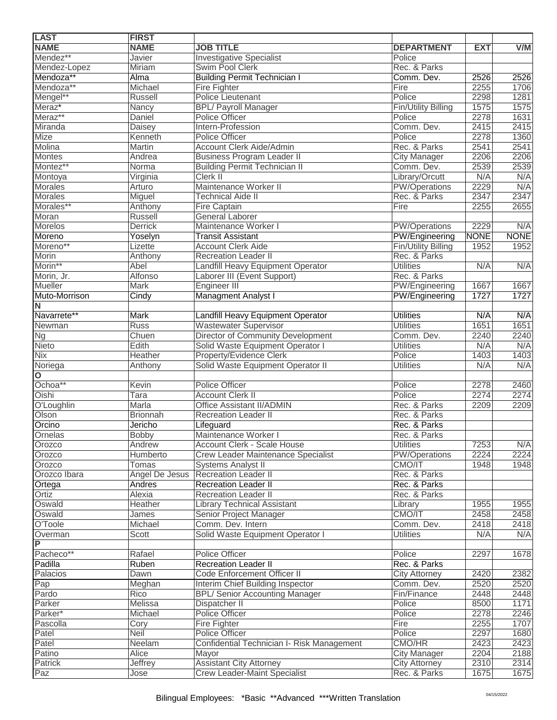| <b>LAST</b>     | <b>FIRST</b>    |                                            |                      |             |             |
|-----------------|-----------------|--------------------------------------------|----------------------|-------------|-------------|
| <b>NAME</b>     | <b>NAME</b>     | <b>JOB TITLE</b>                           | <b>DEPARTMENT</b>    | <b>EXT</b>  | V/M         |
| Mendez**        | Javier          | <b>Investigative Specialist</b>            | Police               |             |             |
| Mendez-Lopez    | Miriam          | <b>Swim Pool Clerk</b>                     | Rec. & Parks         |             |             |
| Mendoza**       | Alma            | <b>Building Permit Technician I</b>        | Comm. Dev.           | 2526        | 2526        |
| Mendoza**       | Michael         | Fire Fighter                               | Fire                 | 2255        | 1706        |
| Mengel**        | Russell         | <b>Police Lieutenant</b>                   | Police               | 2298        | 1281        |
| Meraz*          | Nancy           | <b>BPL/ Payroll Manager</b>                | Fin/Utility Billing  | 1575        | 1575        |
| Meraz**         | Daniel          | <b>Police Officer</b>                      | Police               | 2278        | 1631        |
| Miranda         | Daisey          | Intern-Profession                          | Comm. Dev.           | 2415        | 2415        |
| <b>Mize</b>     | Kenneth         | <b>Police Officer</b>                      | Police               | 2278        | 1360        |
| <b>Molina</b>   | Martin          | <b>Account Clerk Aide/Admin</b>            | Rec. & Parks         | 2541        | 2541        |
| <b>Montes</b>   | Andrea          | <b>Business Program Leader II</b>          | <b>City Manager</b>  | 2206        | 2206        |
| Montez**        | Norma           | <b>Building Permit Technician II</b>       | Comm. Dev.           | 2539        | 2539        |
| Montoya         | Virginia        | Clerk II                                   | Library/Orcutt       | N/A         | N/A         |
| <b>Morales</b>  | Arturo          | Maintenance Worker II                      | <b>PW/Operations</b> | 2229        | N/A         |
| <b>Morales</b>  | Miguel          | <b>Technical Aide II</b>                   | Rec. & Parks         | 2347        | 2347        |
| Morales**       | Anthony         | Fire Captain                               | Fire                 | 2255        | 2655        |
| Moran           | <b>Russell</b>  | <b>General Laborer</b>                     |                      |             |             |
| Morelos         | <b>Derrick</b>  | Maintenance Worker I                       | <b>PW/Operations</b> | 2229        | N/A         |
| Moreno          | Yoselyn         | <b>Transit Assistant</b>                   | PW/Engineering       | <b>NONE</b> | <b>NONE</b> |
| Moreno**        | Lizette         | <b>Account Clerk Aide</b>                  | Fin/Utility Billing  | 1952        | 1952        |
| Morin           | Anthony         | <b>Recreation Leader II</b>                | Rec. & Parks         |             |             |
| Morin**         | Abel            | Landfill Heavy Equipment Operator          | <b>Utilities</b>     | N/A         | N/A         |
| Morin, Jr.      | Alfonso         | Laborer III (Event Support)                | Rec. & Parks         |             |             |
| Mueller         | <b>Mark</b>     | Engineer III                               | PW/Engineering       | 1667        | 1667        |
| Muto-Morrison   | Cindy           | <b>Managment Analyst I</b>                 | PW/Engineering       | 1727        | 1727        |
| N               |                 |                                            |                      |             |             |
| Navarrete**     | Mark            | Landfill Heavy Equipment Operator          | <b>Utilities</b>     | N/A         | N/A         |
| Newman          | <b>Russ</b>     | <b>Wastewater Supervisor</b>               | <b>Utilities</b>     | 1651        | 1651        |
| $\overline{Ng}$ | Chuen           | <b>Director of Community Development</b>   | Comm. Dev.           | 2240        | 2240        |
| Nieto           | Edith           | Solid Waste Equipment Operator I           | <b>Utilities</b>     | N/A         | N/A         |
| Nix             | Heather         | Property/Evidence Clerk                    | Police               | 1403        | 1403        |
| Noriega         | Anthony         | Solid Waste Equipment Operator II          | <b>Utilities</b>     | N/A         | N/A         |
| o               |                 |                                            |                      |             |             |
| Ochoa**         | Kevin           | <b>Police Officer</b>                      | Police               | 2278        | 2460        |
| Oishi           | Tara            | <b>Account Clerk II</b>                    | Police               | 2274        | 2274        |
| O'Loughlin      | <b>Marla</b>    | <b>Office Assistant II/ADMIN</b>           | Rec. & Parks         | 2209        | 2209        |
| Olson           | <b>Brionnah</b> | Recreation Leader II                       | Rec. & Parks         |             |             |
| Orcino          | Jericho         | Lifeguard                                  | Rec. & Parks         |             |             |
| Ornelas         | <b>Bobby</b>    | Maintenance Worker I                       | Rec. & Parks         |             |             |
| Orozco          | Andrew          | Account Clerk - Scale House                | <b>Utilities</b>     | 7253        | N/A         |
| Orozco          | Humberto        | <b>Crew Leader Maintenance Specialist</b>  | <b>PW/Operations</b> | 2224        | 2224        |
| Orozco          | Tomas           | <b>Systems Analyst II</b>                  | CMO/IT               | 1948        | 1948        |
| Orozco Ibara    | Angel De Jesus  | <b>Recreation Leader II</b>                | Rec. & Parks         |             |             |
| Ortega          | Andres          | <b>Recreation Leader II</b>                | Rec. & Parks         |             |             |
| Ortiz           | Alexia          | <b>Recreation Leader II</b>                | Rec. & Parks         |             |             |
| Oswald          | Heather         | <b>Library Technical Assistant</b>         | Library              | 1955        | 1955        |
| Oswald          | James           | Senior Project Manager                     | CMO/IT               | 2458        | 2458        |
| O'Toole         | Michael         | Comm. Dev. Intern                          | Comm. Dev.           | 2418        | 2418        |
| Overman         | Scott           | Solid Waste Equipment Operator             | <b>Utilities</b>     | N/A         | N/A         |
| $\overline{P}$  |                 |                                            |                      |             |             |
| Pacheco**       | Rafael          | <b>Police Officer</b>                      | Police               | 2297        | 1678        |
| Padilla         | Ruben           | <b>Recreation Leader II</b>                | Rec. & Parks         |             |             |
| Palacios        | Dawn            | Code Enforcement Officer II                | <b>City Attorney</b> | 2420        | 2382        |
| Pap             | Meghan          | Interim Chief Building Inspector           | Comm. Dev.           | 2520        | 2520        |
| Pardo           | Rico            | <b>BPL/ Senior Accounting Manager</b>      | Fin/Finance          | 2448        | 2448        |
| Parker          | Melissa         | Dispatcher II                              | Police               | 8500        | 1171        |
| Parker*         | Michael         | Police Officer                             | Police               | 2278        | 2246        |
| Pascolla        | Cory            | Fire Fighter                               | Fire                 | 2255        | 1707        |
| Patel           | Neil            | Police Officer                             | Police               | 2297        | 1680        |
| Patel           | Neelam          | Confidential Technician I- Risk Management | <b>CMO/HR</b>        | 2423        | 2423        |
| Patino          | <b>Alice</b>    | Mayor                                      | <b>City Manager</b>  | 2204        | 2188        |
| Patrick         | Jeffrey         | <b>Assistant City Attorney</b>             | <b>City Attorney</b> | 2310        | 2314        |
| Paz             | Jose            | <b>Crew Leader-Maint Specialist</b>        | Rec. & Parks         | 1675        | 1675        |
|                 |                 |                                            |                      |             |             |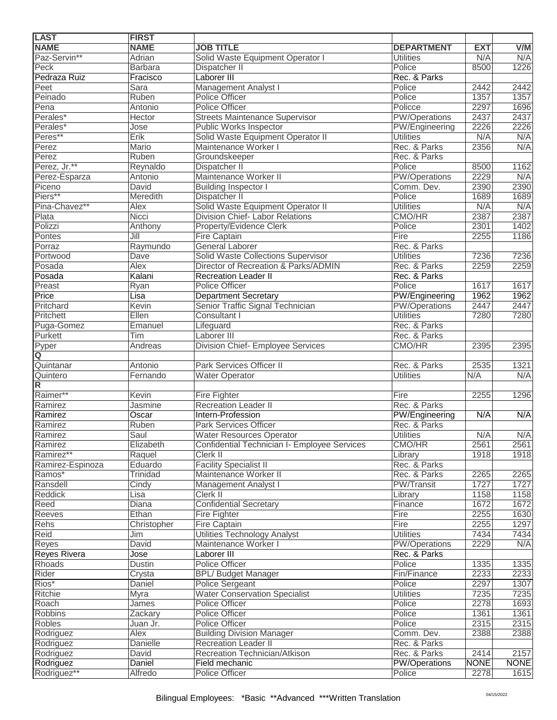| <b>LAST</b>             | <b>FIRST</b>   |                                              |                      |             |             |
|-------------------------|----------------|----------------------------------------------|----------------------|-------------|-------------|
| <b>NAME</b>             | <b>NAME</b>    | <b>JOB TITLE</b>                             | <b>DEPARTMENT</b>    | <b>EXT</b>  | V/M         |
| Paz-Servin**            | Adrian         | Solid Waste Equipment Operator I             | <b>Utilities</b>     | N/A         | N/A         |
| Peck                    | <b>Barbara</b> | Dispatcher II                                | Police               | 8500        | 1226        |
| Pedraza Ruiz            | Fracisco       | Laborer III                                  | Rec. & Parks         |             |             |
| Peet                    | Sara           | Management Analyst I                         | Police               | 2442        | 2442        |
| Peinado                 | Ruben          | <b>Police Officer</b>                        | Police               | 1357        | 1357        |
| Pena                    | Antonio        | <b>Police Officer</b>                        | Policce              | 2297        | 1696        |
|                         |                |                                              |                      |             |             |
| Perales*                | Hector         | <b>Streets Maintenance Supervisor</b>        | <b>PW/Operations</b> | 2437        | 2437        |
| Perales*                | Jose           | <b>Public Works Inspector</b>                | PW/Engineering       | 2226        | 2226        |
| Peres**                 | Erik           | Solid Waste Equipment Operator II            | <b>Utilities</b>     | N/A         | N/A         |
| Perez                   | <b>Mario</b>   | Maintenance Worker I                         | Rec. & Parks         | 2356        | N/A         |
| Perez                   | Ruben          | Groundskeeper                                | Rec. & Parks         |             |             |
| Perez, Jr.**            | Reynaldo       | Dispatcher II                                | Police               | 8500        | 1162        |
| Perez-Esparza           | Antonio        | Maintenance Worker II                        | <b>PW/Operations</b> | 2229        | N/A         |
| Piceno                  | David          | <b>Building Inspector I</b>                  | Comm. Dev.           | 2390        | 2390        |
| Piers**                 | Meredith       | Dispatcher II                                | Police               | 1689        | 1689        |
| Pina-Chavez**           | Alex           | Solid Waste Equipment Operator II            | <b>Utilities</b>     | N/A         | N/A         |
| Plata                   | Nicci          | <b>Division Chief- Labor Relations</b>       | <b>CMO/HR</b>        | 2387        | 2387        |
| Polizzi                 | Anthony        | Property/Evidence Clerk                      | Police               | 2301        | 1402        |
| Pontes                  | Jill           | Fire Captain                                 | Fire                 | 2255        | 1186        |
| Porraz                  | Raymundo       | <b>General Laborer</b>                       | Rec. & Parks         |             |             |
| Portwood                | Dave           | Solid Waste Collections Supervisor           | <b>Utilities</b>     | 7236        | 7236        |
|                         |                |                                              |                      |             |             |
| Posada                  | Alex           | Director of Recreation & Parks/ADMIN         | Rec. & Parks         | 2259        | 2259        |
| Posada                  | Kalani         | <b>Recreation Leader II</b>                  | Rec. & Parks         |             |             |
| Preast                  | Ryan           | <b>Police Officer</b>                        | Police               | 1617        | 1617        |
| Price                   | Lisa           | <b>Department Secretary</b>                  | PW/Engineering       | 1962        | 1962        |
| Pritchard               | Kevin          | Senior Traffic Signal Technician             | <b>PW/Operations</b> | 2447        | 2447        |
| Pritchett               | Ellen          | <b>Consultant I</b>                          | <b>Utilities</b>     | 7280        | 7280        |
| Puga-Gomez              | Emanuel        | Lifeguard                                    | Rec. & Parks         |             |             |
| Purkett                 | Tim            | Laborer III                                  | Rec. & Parks         |             |             |
| Pyper                   | Andreas        | Division Chief- Employee Services            | <b>CMO/HR</b>        | 2395        | 2395        |
| Q                       |                |                                              |                      |             |             |
| Quintanar               | Antonio        | Park Services Officer II                     | Rec. & Parks         | 2535        | 1321        |
| Quintero                | Fernando       | <b>Water Operator</b>                        | <b>Utilities</b>     | N/A         | N/A         |
| $\overline{\mathsf{R}}$ |                |                                              |                      |             |             |
| Raimer**                | Kevin          | <b>Fire Fighter</b>                          | Fire                 | 2255        | 1296        |
| Ramirez                 | Jasmine        | <b>Recreation Leader II</b>                  | Rec. & Parks         |             |             |
| Ramirez                 | Oscar          | Intern-Profession                            | PW/Engineering       | N/A         | N/A         |
| Ramirez                 | Ruben          | <b>Park Services Officer</b>                 | Rec. & Parks         |             |             |
| Ramirez                 | Saul           | <b>Water Resources Operator</b>              | <b>Utilities</b>     | N/A         | N/A         |
| Ramirez                 | Elizabeth      | Confidential Technician I- Employee Services | <b>CMO/HR</b>        | 2561        | 2561        |
| Ramirez**               |                | Clerk II                                     |                      |             |             |
|                         | Raquel         |                                              | Library              | 1918        | 1918        |
| Ramirez-Espinoza        | Eduardo        | <b>Facility Specialist II</b>                | Rec. & Parks         |             |             |
| Ramos*                  | Trinidad       | Maintenance Worker II                        | Rec. & Parks         | 2265        | 2265        |
| Ransdell                | Cindy          | Management Analyst I                         | <b>PW/Transit</b>    | 1727        | 1727        |
| Reddick                 | Lisa           | Clerk II                                     | Library              | 1158        | 1158        |
| Reed                    | Diana          | <b>Confidential Secretary</b>                | Finance              | 1672        | 1672        |
| Reeves                  | Ethan          | Fire Fighter                                 | Fire                 | 2255        | 1630        |
| <b>Rehs</b>             | Christopher    | <b>Fire Captain</b>                          | Fire                 | 2255        | 1297        |
| Reid                    | Jim            | Utilities Technology Analyst                 | <b>Utilities</b>     | 7434        | 7434        |
| <b>Reyes</b>            | David          | Maintenance Worker I                         | <b>PW/Operations</b> | 2229        | N/A         |
| <b>Reyes Rivera</b>     | Jose           | Laborer III                                  | Rec. & Parks         |             |             |
| Rhoads                  | Dustin         | Police Officer                               | Police               | 1335        | 1335        |
| Rider                   | Crysta         | <b>BPL/ Budget Manager</b>                   | Fin/Finance          | 2233        | 2233        |
| Rios*                   | Daniel         | Police Sergeant                              | Police               | 2297        | 1307        |
| Ritchie                 | Myra           | <b>Water Conservation Specialist</b>         | <b>Utilities</b>     | 7235        | 7235        |
| Roach                   | James          | Police Officer                               | Police               | 2278        | 1693        |
| <b>Robbins</b>          | Zackary        | Police Officer                               | Police               | 1361        | 1361        |
| <b>Robles</b>           | Juan Jr.       | Police Officer                               | Police               | 2315        | 2315        |
| Rodriguez               | Alex           | <b>Building Division Manager</b>             | Comm. Dev.           | 2388        | 2388        |
|                         | Danielle       | <b>Recreation Leader II</b>                  | Rec. & Parks         |             |             |
| Rodriguez               |                |                                              |                      |             |             |
| Rodriguez               | David          | Recreation Technician/Atkison                | Rec. & Parks         | 2414        | 2157        |
| Rodriguez               | Daniel         | Field mechanic                               | PW/Operations        | <b>NONE</b> | <b>NONE</b> |
| Rodriguez**             | Alfredo        | Police Officer                               | Police               | 2278        | 1615        |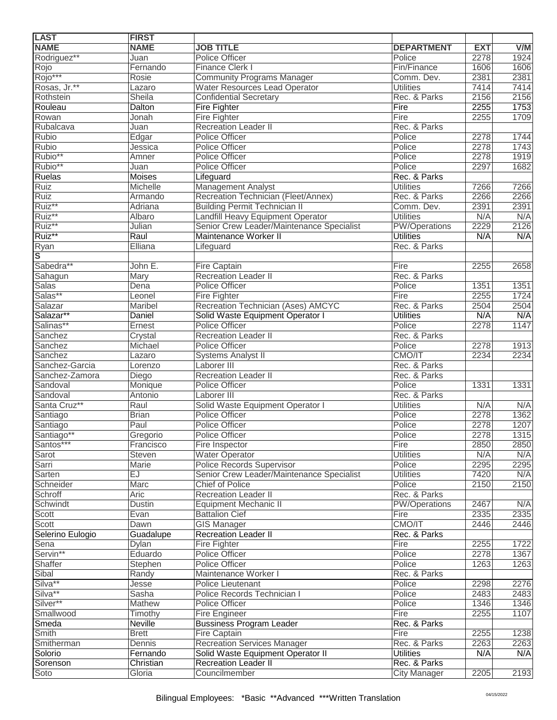| <b>LAST</b>             | <b>FIRST</b>  |                                           |                      |            |      |
|-------------------------|---------------|-------------------------------------------|----------------------|------------|------|
| <b>NAME</b>             | <b>NAME</b>   | <b>JOB TITLE</b>                          | <b>DEPARTMENT</b>    | <b>EXT</b> | V/M  |
| Rodriguez**             | Juan          | <b>Police Officer</b>                     | Police               | 2278       | 1924 |
| Rojo                    | Fernando      | <b>Finance Clerk I</b>                    | Fin/Finance          | 1606       | 1606 |
| Rojo***                 | Rosie         | <b>Community Programs Manager</b>         | Comm. Dev.           | 2381       | 2381 |
| Rosas, Jr.**            | Lazaro        | Water Resources Lead Operator             | <b>Utilities</b>     | 7414       | 7414 |
| Rothstein               | Sheila        | <b>Confidential Secretary</b>             | Rec. & Parks         | 2156       | 2156 |
| Rouleau                 | Dalton        | Fire Fighter                              | Fire                 | 2255       | 1753 |
| Rowan                   | Jonah         | Fire Fighter                              | Fire                 | 2255       | 1709 |
| Rubalcava               | Juan          | <b>Recreation Leader II</b>               | Rec. & Parks         |            |      |
| <b>Rubio</b>            | Edgar         | Police Officer                            | Police               | 2278       | 1744 |
| <b>Rubio</b>            | Jessica       | <b>Police Officer</b>                     | Police               | 2278       | 1743 |
| Rubio**                 | Amner         | Police Officer                            | Police               | 2278       | 1919 |
| Rubio**                 |               | <b>Police Officer</b>                     | Police               |            | 1682 |
|                         | Juan          |                                           |                      | 2297       |      |
| Ruelas                  | <b>Moises</b> | Lifeguard                                 | Rec. & Parks         |            |      |
| <b>Ruiz</b>             | Michelle      | <b>Management Analyst</b>                 | <b>Utilities</b>     | 7266       | 7266 |
| Ruiz                    | Armando       | Recreation Technician (Fleet/Annex)       | Rec. & Parks         | 2266       | 2266 |
| Ruiz**                  | Adriana       | <b>Building Permit Technician II</b>      | Comm. Dev.           | 2391       | 2391 |
| Ruiz**                  | Albaro        | Landfill Heavy Equipment Operator         | <b>Utilities</b>     | N/A        | N/A  |
| Ruiz**                  | Julian        | Senior Crew Leader/Maintenance Specialist | <b>PW/Operations</b> | 2229       | 2126 |
| Ruiz**                  | Raul          | Maintenance Worker II                     | <b>Utilities</b>     | N/A        | N/A  |
| Ryan                    | Elliana       | Lifeguard                                 | Rec. & Parks         |            |      |
| $\overline{\mathbf{s}}$ |               |                                           |                      |            |      |
| Sabedra**               | John E.       | Fire Captain                              | Fire                 | 2255       | 2658 |
| Sahagun                 | <b>Mary</b>   | <b>Recreation Leader II</b>               | Rec. & Parks         |            |      |
| Salas                   | Dena          | Police Officer                            | Police               | 1351       | 1351 |
| Salas**                 | Leonel        | Fire Fighter                              | Fire                 | 2255       | 1724 |
| Salazar                 | Maribel       | Recreation Technician (Ases) AMCYC        | Rec. & Parks         | 2504       | 2504 |
| Salazar**               | Daniel        | Solid Waste Equipment Operator I          | <b>Utilities</b>     | N/A        | N/A  |
| Salinas**               | Ernest        | Police Officer                            | Police               | 2278       | 1147 |
| Sanchez                 | Crystal       | <b>Recreation Leader II</b>               | Rec. & Parks         |            |      |
| Sanchez                 | Michael       | Police Officer                            | Police               | 2278       | 1913 |
| Sanchez                 | Lazaro        | Systems Analyst II                        | CMO/IT               | 2234       | 2234 |
| Sanchez-Garcia          | Lorenzo       | Laborer III                               | Rec. & Parks         |            |      |
| Sanchez-Zamora          | Diego         | <b>Recreation Leader II</b>               | Rec. & Parks         |            |      |
| Sandoval                | Monique       | <b>Police Officer</b>                     | Police               | 1331       | 1331 |
| Sandoval                | Antonio       | Laborer III                               | Rec. & Parks         |            |      |
| Santa Cruz**            | Raul          | Solid Waste Equipment Operator I          | <b>Utilities</b>     | N/A        | N/A  |
| Santiago                | <b>Brian</b>  | Police Officer                            | Police               | 2278       | 1362 |
| Santiago                |               |                                           |                      |            |      |
|                         | Paul          | Police Officer                            | Police               | 2278       | 1207 |
| Santiago**              | Gregorio      | <b>Police Officer</b>                     | Police               | 2278       | 1315 |
| Santos***               | Francisco     | Fire Inspector                            | Fire                 | 2850       | 2850 |
| Sarot                   | Steven        | <b>Water Operator</b>                     | <b>Utilities</b>     | N/A        | N/A  |
| Sarri                   | Marie         | <b>Police Records Supervisor</b>          | Police               | 2295       | 2295 |
| Sarten                  | EJ            | Senior Crew Leader/Maintenance Specialist | <b>Utilities</b>     | 7420       | N/A  |
| Schneider               | Marc          | <b>Chief of Police</b>                    | Police               | 2150       | 2150 |
| Schroff                 | Aric          | <b>Recreation Leader II</b>               | Rec. & Parks         |            |      |
| Schwindt                | <b>Dustin</b> | <b>Equipment Mechanic II</b>              | PW/Operations        | 2467       | N/A  |
| Scott                   | Evan          | <b>Battalion Cief</b>                     | Fire                 | 2335       | 2335 |
| Scott                   | Dawn          | <b>GIS Manager</b>                        | CMO/IT               | 2446       | 2446 |
| Selerino Eulogio        | Guadalupe     | <b>Recreation Leader II</b>               | Rec. & Parks         |            |      |
| Sena                    | Dylan         | Fire Fighter                              | Fire                 | 2255       | 1722 |
| Servin**                | Eduardo       | Police Officer                            | Police               | 2278       | 1367 |
| Shaffer                 | Stephen       | <b>Police Officer</b>                     | Police               | 1263       | 1263 |
| Sibal                   | Randy         | Maintenance Worker I                      | Rec. & Parks         |            |      |
| Silva**                 | Jesse         | Police Lieutenant                         | Police               | 2298       | 2276 |
| Silva**                 | Sasha         | Police Records Technician I               | Police               | 2483       | 2483 |
| Silver**                | Mathew        | Police Officer                            | Police               | 1346       | 1346 |
| Smallwood               | Timothy       | Fire Engineer                             | Fire                 | 2255       | 1107 |
| Smeda                   | Neville       | <b>Bussiness Program Leader</b>           | Rec. & Parks         |            |      |
| Smith                   | <b>Brett</b>  | <b>Fire Captain</b>                       | Fire                 | 2255       | 1238 |
|                         | Dennis        |                                           |                      | 2263       | 2263 |
| Smitherman              |               | <b>Recreation Services Manager</b>        | Rec. & Parks         |            |      |
| Solorio                 | Fernando      | Solid Waste Equipment Operator II         | <b>Utilities</b>     | N/A        | N/A  |
| Sorenson                | Christian     | <b>Recreation Leader II</b>               | Rec. & Parks         |            |      |
| Soto                    | Gloria        | Councilmember                             | <b>City Manager</b>  | 2205       | 2193 |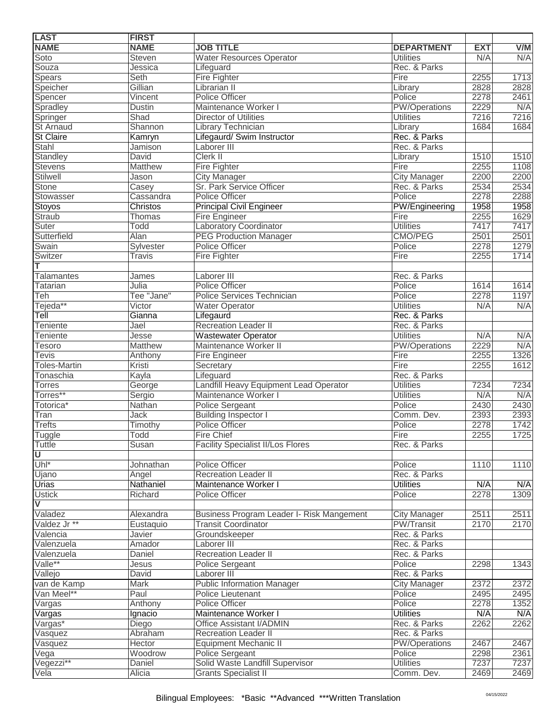| <b>LAST</b>                | <b>FIRST</b>        |                                           |                      |            |      |
|----------------------------|---------------------|-------------------------------------------|----------------------|------------|------|
| <b>NAME</b>                | <b>NAME</b>         | <b>JOB TITLE</b>                          | <b>DEPARTMENT</b>    | <b>EXT</b> | V/M  |
| Soto                       | Steven              | <b>Water Resources Operator</b>           | <b>Utilities</b>     | N/A        | N/A  |
| Souza                      | Jessica             | Lifeguard                                 | Rec. & Parks         |            |      |
| <b>Spears</b>              | Seth                | <b>Fire Fighter</b>                       | Fire                 | 2255       | 1713 |
| Speicher                   | Gillian             | Librarian II                              | Library              | 2828       | 2828 |
| Spencer                    | Vincent             | <b>Police Officer</b>                     | Police               | 2278       | 2461 |
| Spradley                   | <b>Dustin</b>       | Maintenance Worker I                      | PW/Operations        | 2229       | N/A  |
| Springer                   | Shad                | Director of Utilities                     | <b>Utilities</b>     | 7216       | 7216 |
| <b>St Arnaud</b>           | Shannon             | <b>Library Technician</b>                 | Library              | 1684       | 1684 |
| <b>St Claire</b>           | Kamryn              | Lifegaurd/ Swim Instructor                | Rec. & Parks         |            |      |
| <b>Stahl</b>               | Jamison             | Laborer III                               | Rec. & Parks         |            |      |
| Standley                   | David               | Clerk II                                  | Library              | 1510       | 1510 |
| <b>Stevens</b>             | <b>Matthew</b>      | <b>Fire Fighter</b>                       | Fire                 | 2255       | 1108 |
| <b>Stilwell</b>            | Jason               | <b>City Manager</b>                       | <b>City Manager</b>  | 2200       | 2200 |
| <b>Stone</b>               | Casey               | Sr. Park Service Officer                  | Rec. & Parks         | 2534       | 2534 |
| Stowasser                  | Cassandra           | Police Officer                            | Police               | 2278       | 2288 |
| Stoyos                     | Christos            | <b>Principal Civil Engineer</b>           | PW/Engineering       | 1958       | 1958 |
| Straub                     | Thomas              | <b>Fire Engineer</b>                      | Fire                 | 2255       | 1629 |
| Suter                      | Todd                | <b>Laboratory Coordinator</b>             | <b>Utilities</b>     | 7417       | 7417 |
| Sutterfield                | <b>Alan</b>         | <b>PEG Production Manager</b>             | CMO/PEG              | 2501       | 2501 |
| Swain                      | Sylvester           | <b>Police Officer</b>                     | Police               | 2278       | 1279 |
| Switzer                    | Travis              | <b>Fire Fighter</b>                       | Fire                 | 2255       | 1714 |
| т                          |                     |                                           |                      |            |      |
| <b>Talamantes</b>          |                     | Laborer III                               | Rec. & Parks         |            |      |
|                            | James               | <b>Police Officer</b>                     | Police               |            |      |
| Tatarian                   | Julia<br>Tee "Jane" |                                           |                      | 1614       | 1614 |
| Teh                        |                     | <b>Police Services Technician</b>         | Police               | 2278       | 1197 |
| Tejeda**                   | Victor              | <b>Water Operator</b>                     | <b>Utilities</b>     | N/A        | N/A  |
| $\overline{\mathsf{Tell}}$ | Gianna              | Lifegaurd                                 | Rec. & Parks         |            |      |
| Teniente                   | Jael                | <b>Recreation Leader II</b>               | Rec. & Parks         |            |      |
| Teniente                   | Jesse               | <b>Wastewater Operator</b>                | <b>Utilities</b>     | N/A        | N/A  |
| Tesoro                     | <b>Matthew</b>      | Maintenance Worker II                     | <b>PW/Operations</b> | 2229       | N/A  |
| <b>Tevis</b>               | Anthony             | Fire Engineer                             | Fire                 | 2255       | 1326 |
| <b>Toles-Martin</b>        | Kristi              | Secretary                                 | Fire                 | 2255       | 1612 |
| Tonaschia                  | Kayla               | Lifeguard                                 | Rec. & Parks         |            |      |
| <b>Torres</b>              | George              | Landfill Heavy Equipment Lead Operator    | <b>Utilities</b>     | 7234       | 7234 |
| Torres**                   | Sergio              | Maintenance Worker I                      | <b>Utilities</b>     | N/A        | N/A  |
| Totorica*                  | Nathan              | Police Sergeant                           | Police               | 2430       | 2430 |
| Tran                       | Jack                | <b>Building Inspector I</b>               | Comm. Dev.           | 2393       | 2393 |
| <b>Trefts</b>              | Timothy             | <b>Police Officer</b>                     | Police               | 2278       | 1742 |
| <b>Tuggle</b>              | <b>Todd</b>         | <b>Fire Chief</b>                         | Fire                 | 2255       | 1725 |
| <b>Tuttle</b>              | Susan               | <b>Facility Specialist II/Los Flores</b>  | Rec. & Parks         |            |      |
| $\overline{\mathsf{U}}$    |                     |                                           |                      |            |      |
| $Uh^*$                     | Johnathan           | <b>Police Officer</b>                     | Police               | 1110       | 1110 |
| Ujano                      | Angel               | <b>Recreation Leader II</b>               | Rec. & Parks         |            |      |
| Urias                      | Nathaniel           | Maintenance Worker I                      | <b>Utilities</b>     | N/A        | N/A  |
| <b>Ustick</b>              | Richard             | <b>Police Officer</b>                     | Police               | 2278       | 1309 |
| $\overline{\mathsf{v}}$    |                     |                                           |                      |            |      |
| Valadez                    | Alexandra           | Business Program Leader I- Risk Mangement | <b>City Manager</b>  | 2511       | 2511 |
| Valdez Jr <sup>**</sup>    | Eustaquio           | <b>Transit Coordinator</b>                | <b>PW/Transit</b>    | 2170       | 2170 |
| Valencia                   | Javier              | Groundskeeper                             | Rec. & Parks         |            |      |
| Valenzuela                 | Amador              | Laborer III                               | Rec. & Parks         |            |      |
| Valenzuela                 | Daniel              | <b>Recreation Leader II</b>               | Rec. & Parks         |            |      |
| Valle**                    | Jesus               | <b>Police Sergeant</b>                    | Police               | 2298       | 1343 |
| Vallejo                    | David               | Laborer III                               | Rec. & Parks         |            |      |
| van de Kamp                | Mark                | <b>Public Information Manager</b>         | <b>City Manager</b>  | 2372       | 2372 |
| Van Meel**                 | Paul                | Police Lieutenant                         | Police               | 2495       | 2495 |
| Vargas                     | Anthony             | Police Officer                            | Police               | 2278       | 1352 |
| Vargas                     | Ignacio             | Maintenance Worker I                      | <b>Utilities</b>     | N/A        | N/A  |
| Vargas*                    | Diego               | Office Assistant I/ADMIN                  | Rec. & Parks         | 2262       | 2262 |
| Vasquez                    | Abraham             | <b>Recreation Leader II</b>               | Rec. & Parks         |            |      |
| Vasquez                    | Hector              | <b>Equipment Mechanic II</b>              | <b>PW/Operations</b> | 2467       | 2467 |
| Vega                       | Woodrow             | <b>Police Sergeant</b>                    | Police               | 2298       | 2361 |
| Vegezzi**                  | Daniel              | Solid Waste Landfill Supervisor           | <b>Utilities</b>     | 7237       | 7237 |
| Vela                       | Alicia              | <b>Grants Specialist II</b>               | Comm. Dev.           | 2469       | 2469 |
|                            |                     |                                           |                      |            |      |